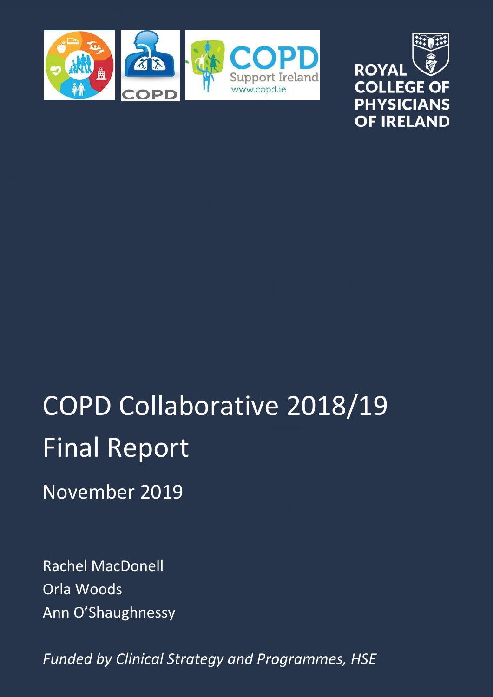



# COPD Collaborative 2018/19 Final Report

November 2019

Rachel MacDonell Orla Woods Ann O'Shaughnessy

*Funded by Clinical Strategy and Programmes, HSE*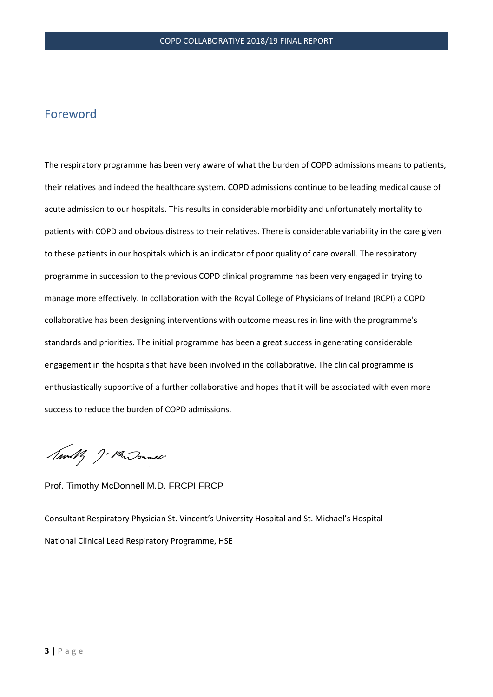# Foreword

The respiratory programme has been very aware of what the burden of COPD admissions means to patients, their relatives and indeed the healthcare system. COPD admissions continue to be leading medical cause of acute admission to our hospitals. This results in considerable morbidity and unfortunately mortality to patients with COPD and obvious distress to their relatives. There is considerable variability in the care given to these patients in our hospitals which is an indicator of poor quality of care overall. The respiratory programme in succession to the previous COPD clinical programme has been very engaged in trying to manage more effectively. In collaboration with the Royal College of Physicians of Ireland (RCPI) a COPD collaborative has been designing interventions with outcome measures in line with the programme's standards and priorities. The initial programme has been a great success in generating considerable engagement in the hospitals that have been involved in the collaborative. The clinical programme is enthusiastically supportive of a further collaborative and hopes that it will be associated with even more success to reduce the burden of COPD admissions.

Amally J. Mur Journel.

#### Prof. Timothy McDonnell M.D. FRCPI FRCP

Consultant Respiratory Physician St. Vincent's University Hospital and St. Michael's Hospital National Clinical Lead Respiratory Programme, HSE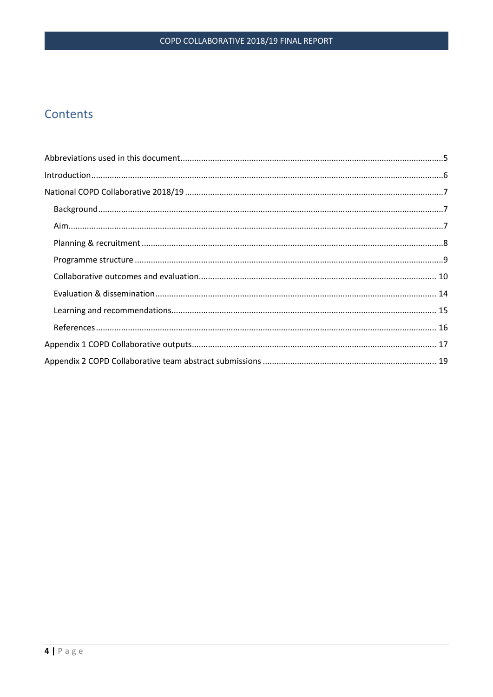# Contents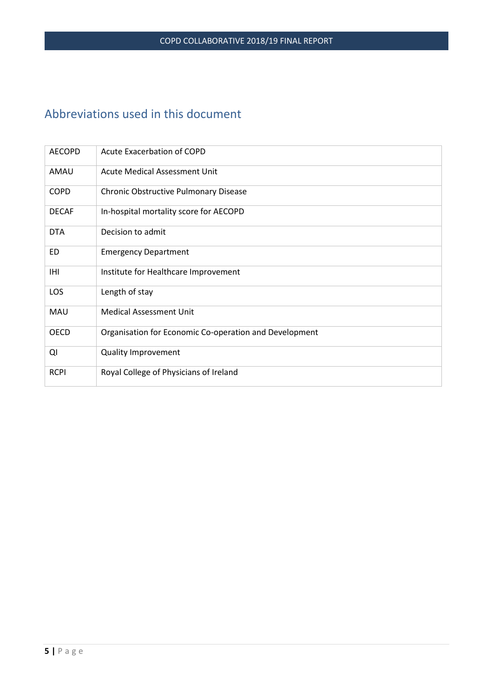# <span id="page-4-0"></span>Abbreviations used in this document

| <b>AECOPD</b> | Acute Exacerbation of COPD                             |
|---------------|--------------------------------------------------------|
| AMAU          | Acute Medical Assessment Unit                          |
| <b>COPD</b>   | Chronic Obstructive Pulmonary Disease                  |
| <b>DECAF</b>  | In-hospital mortality score for AECOPD                 |
| <b>DTA</b>    | Decision to admit                                      |
| ED.           | <b>Emergency Department</b>                            |
| IHI           | Institute for Healthcare Improvement                   |
| LOS           | Length of stay                                         |
| <b>MAU</b>    | <b>Medical Assessment Unit</b>                         |
| <b>OECD</b>   | Organisation for Economic Co-operation and Development |
| QI            | <b>Quality Improvement</b>                             |
| <b>RCPI</b>   | Royal College of Physicians of Ireland                 |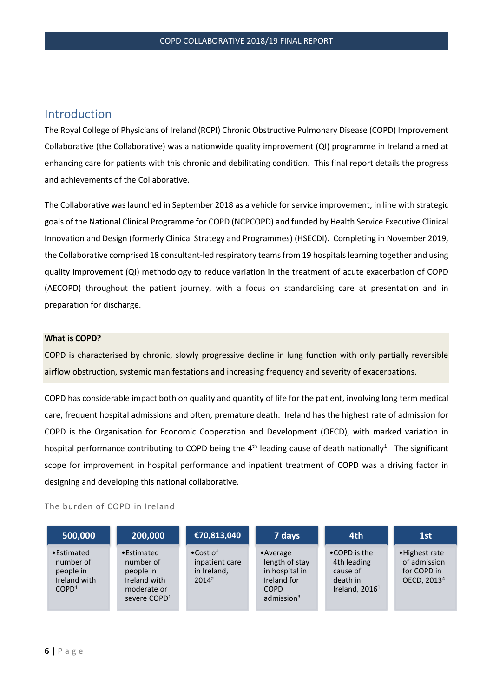# <span id="page-5-0"></span>Introduction

The Royal College of Physicians of Ireland (RCPI) Chronic Obstructive Pulmonary Disease (COPD) Improvement Collaborative (the Collaborative) was a nationwide quality improvement (QI) programme in Ireland aimed at enhancing care for patients with this chronic and debilitating condition. This final report details the progress and achievements of the Collaborative.

The Collaborative was launched in September 2018 as a vehicle for service improvement, in line with strategic goals of the National Clinical Programme for COPD (NCPCOPD) and funded by Health Service Executive Clinical Innovation and Design (formerly Clinical Strategy and Programmes) (HSECDI). Completing in November 2019, the Collaborative comprised 18 consultant-led respiratory teams from 19 hospitals learning together and using quality improvement (QI) methodology to reduce variation in the treatment of acute exacerbation of COPD (AECOPD) throughout the patient journey, with a focus on standardising care at presentation and in preparation for discharge.

#### **What is COPD?**

COPD is characterised by chronic, slowly progressive decline in lung function with only partially reversible airflow obstruction, systemic manifestations and increasing frequency and severity of exacerbations.

COPD has considerable impact both on quality and quantity of life for the patient, involving long term medical care, frequent hospital admissions and often, premature death. Ireland has the highest rate of admission for COPD is the Organisation for Economic Cooperation and Development (OECD), with marked variation in hospital performance contributing to COPD being the  $4<sup>th</sup>$  leading cause of death nationally<sup>1</sup>. The significant scope for improvement in hospital performance and inpatient treatment of COPD was a driving factor in designing and developing this national collaborative.

#### The burden of COPD in Ireland

| 500,000                                                                   | 200,000                                                                                         | €70,813,040                                                    | 7 days                                                                                                        | 4th                                                                              | 1st                                                                      |
|---------------------------------------------------------------------------|-------------------------------------------------------------------------------------------------|----------------------------------------------------------------|---------------------------------------------------------------------------------------------------------------|----------------------------------------------------------------------------------|--------------------------------------------------------------------------|
| •Estimated<br>number of<br>people in<br>Ireland with<br>COPD <sup>1</sup> | •Estimated<br>number of<br>people in<br>Ireland with<br>moderate or<br>severe COPD <sup>1</sup> | $\bullet$ Cost of<br>inpatient care<br>in Ireland,<br>$2014^2$ | $\bullet$ Average<br>length of stay<br>in hospital in<br>Ireland for<br><b>COPD</b><br>admission <sup>3</sup> | $\bullet$ COPD is the<br>4th leading<br>cause of<br>death in<br>Ireland, $20161$ | • Highest rate<br>of admission<br>for COPD in<br>OECD, 2013 <sup>4</sup> |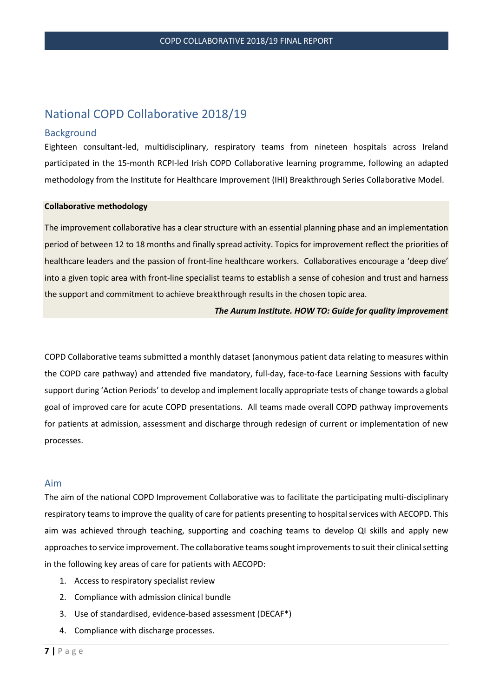# <span id="page-6-0"></span>National COPD Collaborative 2018/19

#### <span id="page-6-1"></span>**Background**

Eighteen consultant-led, multidisciplinary, respiratory teams from nineteen hospitals across Ireland participated in the 15-month RCPI-led Irish COPD Collaborative learning programme, following an adapted methodology from the Institute for Healthcare Improvement (IHI) Breakthrough Series Collaborative Model.

#### **Collaborative methodology**

The improvement collaborative has a clear structure with an essential planning phase and an implementation period of between 12 to 18 months and finally spread activity. Topics for improvement reflect the priorities of healthcare leaders and the passion of front-line healthcare workers. Collaboratives encourage a 'deep dive' into a given topic area with front-line specialist teams to establish a sense of cohesion and trust and harness the support and commitment to achieve breakthrough results in the chosen topic area.

#### *The Aurum Institute. HOW TO: Guide for quality improvement*

COPD Collaborative teams submitted a monthly dataset (anonymous patient data relating to measures within the COPD care pathway) and attended five mandatory, full-day, face-to-face Learning Sessions with faculty support during 'Action Periods' to develop and implement locally appropriate tests of change towards a global goal of improved care for acute COPD presentations. All teams made overall COPD pathway improvements for patients at admission, assessment and discharge through redesign of current or implementation of new processes.

#### <span id="page-6-2"></span>Aim

The aim of the national COPD Improvement Collaborative was to facilitate the participating multi-disciplinary respiratory teams to improve the quality of care for patients presenting to hospital services with AECOPD. This aim was achieved through teaching, supporting and coaching teams to develop QI skills and apply new approaches to service improvement. The collaborative teams sought improvements to suit their clinical setting in the following key areas of care for patients with AECOPD:

- 1. Access to respiratory specialist review
- 2. Compliance with admission clinical bundle
- 3. Use of standardised, evidence-based assessment (DECAF\*)
- 4. Compliance with discharge processes.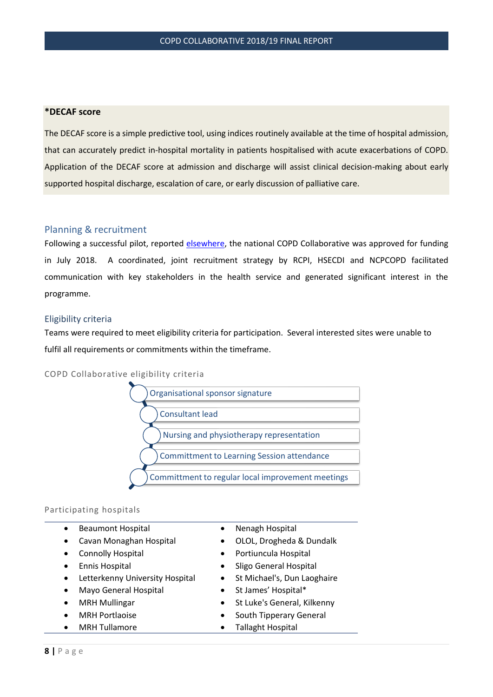#### **\*DECAF score**

The DECAF score is a simple predictive tool, using indices routinely available at the time of hospital admission, that can accurately predict in-hospital mortality in patients hospitalised with acute exacerbations of COPD. Application of the DECAF score at admission and discharge will assist clinical decision-making about early supported hospital discharge, escalation of care, or early discussion of palliative care.

#### <span id="page-7-0"></span>Planning & recruitment

Following a successful pilot, reported [elsewhere,](https://rcpi-live-cdn.s3.amazonaws.com/wp-content/uploads/2018/09/Final-Pilot-Report-v05.pdf) the national COPD Collaborative was approved for funding in July 2018. A coordinated, joint recruitment strategy by RCPI, HSECDI and NCPCOPD facilitated communication with key stakeholders in the health service and generated significant interest in the programme.

#### Eligibility criteria

Teams were required to meet eligibility criteria for participation. Several interested sites were unable to fulfil all requirements or commitments within the timeframe.

COPD Collaborative eligibility criteria



#### Participating hospitals

- Beaumont Hospital Nenagh Hospital
- 
- 
- 
- Letterkenny University Hospital St Michael's, Dun Laoghaire
- Mayo General Hospital St James' Hospital\*
- 
- 
- 
- 
- Cavan Monaghan Hospital OLOL, Drogheda & Dundalk
- Connolly Hospital Portiuncula Hospital
- Ennis Hospital Sligo General Hospital
	-
	-
	- **MRH Mullingar •** St Luke's General, Kilkenny
	- MRH Portlaoise South Tipperary General
- MRH Tullamore Tallaght Hospital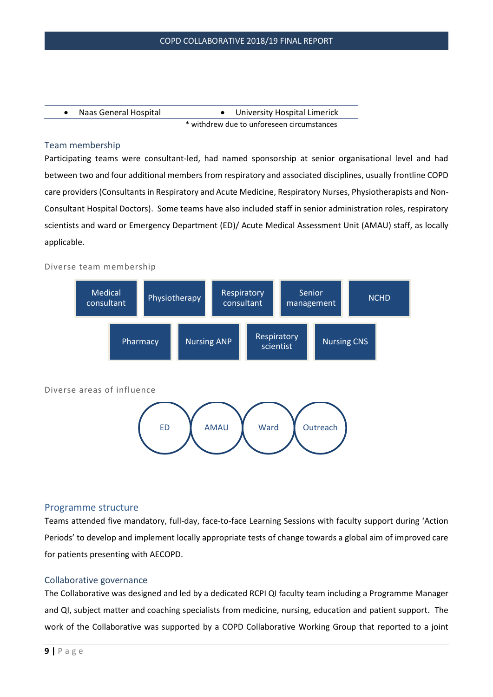| Naas General Hospital | University Hospital Limerick               |  |
|-----------------------|--------------------------------------------|--|
|                       | * withdrew due to unforeseen circumstances |  |

### Team membership

Participating teams were consultant-led, had named sponsorship at senior organisational level and had between two and four additional members from respiratory and associated disciplines, usually frontline COPD care providers (Consultants in Respiratory and Acute Medicine, Respiratory Nurses, Physiotherapists and Non-Consultant Hospital Doctors). Some teams have also included staff in senior administration roles, respiratory scientists and ward or Emergency Department (ED)/ Acute Medical Assessment Unit (AMAU) staff, as locally applicable.

#### Diverse team membership



#### <span id="page-8-0"></span>Programme structure

Teams attended five mandatory, full-day, face-to-face Learning Sessions with faculty support during 'Action Periods' to develop and implement locally appropriate tests of change towards a global aim of improved care for patients presenting with AECOPD.

#### Collaborative governance

The Collaborative was designed and led by a dedicated RCPI QI faculty team including a Programme Manager and QI, subject matter and coaching specialists from medicine, nursing, education and patient support. The work of the Collaborative was supported by a COPD Collaborative Working Group that reported to a joint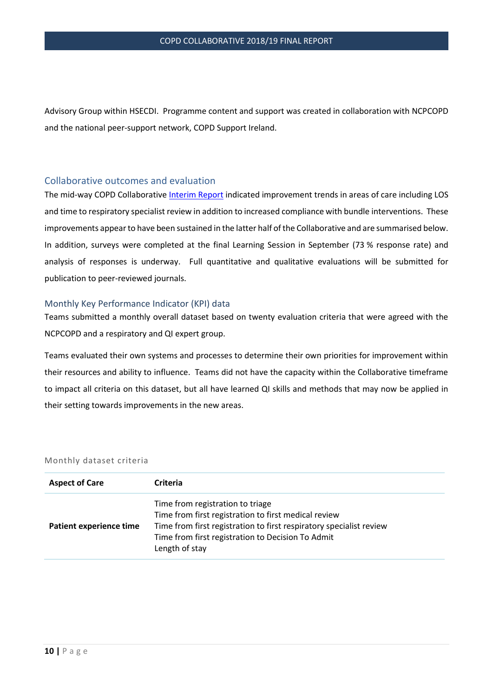Advisory Group within HSECDI. Programme content and support was created in collaboration with NCPCOPD and the national peer-support network, COPD Support Ireland.

## <span id="page-9-0"></span>Collaborative outcomes and evaluation

The mid-way COPD Collaborative [Interim Report](https://rcpi-live-cdn.s3.amazonaws.com/wp-content/uploads/2019/06/Interim-report-COPD-Collab-2019.pdf) indicated improvement trends in areas of care including LOS and time to respiratory specialist review in addition to increased compliance with bundle interventions. These improvements appear to have been sustained in the latter half of the Collaborative and are summarised below. In addition, surveys were completed at the final Learning Session in September (73 % response rate) and analysis of responses is underway. Full quantitative and qualitative evaluations will be submitted for publication to peer-reviewed journals.

#### Monthly Key Performance Indicator (KPI) data

Teams submitted a monthly overall dataset based on twenty evaluation criteria that were agreed with the NCPCOPD and a respiratory and QI expert group.

Teams evaluated their own systems and processes to determine their own priorities for improvement within their resources and ability to influence. Teams did not have the capacity within the Collaborative timeframe to impact all criteria on this dataset, but all have learned QI skills and methods that may now be applied in their setting towards improvements in the new areas.

#### Monthly dataset criteria

| <b>Aspect of Care</b>   | <b>Criteria</b>                                                                                                                                                                                                                        |
|-------------------------|----------------------------------------------------------------------------------------------------------------------------------------------------------------------------------------------------------------------------------------|
| Patient experience time | Time from registration to triage<br>Time from first registration to first medical review<br>Time from first registration to first respiratory specialist review<br>Time from first registration to Decision To Admit<br>Length of stay |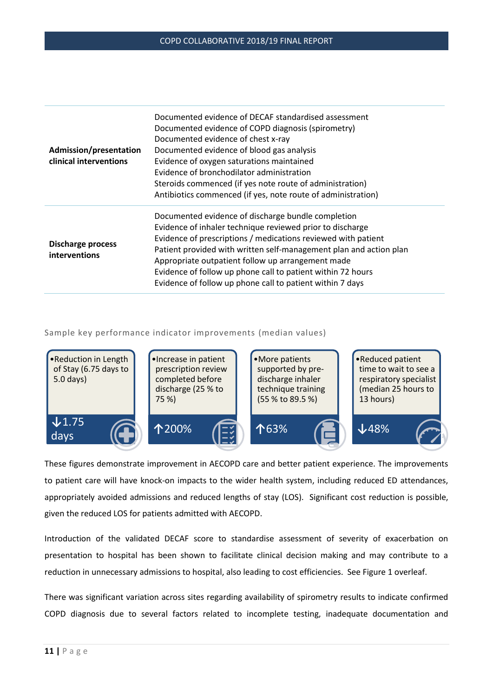| Admission/presentation<br>clinical interventions | Documented evidence of DECAF standardised assessment<br>Documented evidence of COPD diagnosis (spirometry)<br>Documented evidence of chest x-ray<br>Documented evidence of blood gas analysis<br>Evidence of oxygen saturations maintained<br>Evidence of bronchodilator administration<br>Steroids commenced (if yes note route of administration)<br>Antibiotics commenced (if yes, note route of administration)                     |
|--------------------------------------------------|-----------------------------------------------------------------------------------------------------------------------------------------------------------------------------------------------------------------------------------------------------------------------------------------------------------------------------------------------------------------------------------------------------------------------------------------|
| <b>Discharge process</b><br>interventions        | Documented evidence of discharge bundle completion<br>Evidence of inhaler technique reviewed prior to discharge<br>Evidence of prescriptions / medications reviewed with patient<br>Patient provided with written self-management plan and action plan<br>Appropriate outpatient follow up arrangement made<br>Evidence of follow up phone call to patient within 72 hours<br>Evidence of follow up phone call to patient within 7 days |

#### Sample key performance indicator improvements (median values)



These figures demonstrate improvement in AECOPD care and better patient experience. The improvements to patient care will have knock-on impacts to the wider health system, including reduced ED attendances, appropriately avoided admissions and reduced lengths of stay (LOS). Significant cost reduction is possible, given the reduced LOS for patients admitted with AECOPD.

Introduction of the validated DECAF score to standardise assessment of severity of exacerbation on presentation to hospital has been shown to facilitate clinical decision making and may contribute to a reduction in unnecessary admissions to hospital, also leading to cost efficiencies. See Figure 1 overleaf.

There was significant variation across sites regarding availability of spirometry results to indicate confirmed COPD diagnosis due to several factors related to incomplete testing, inadequate documentation and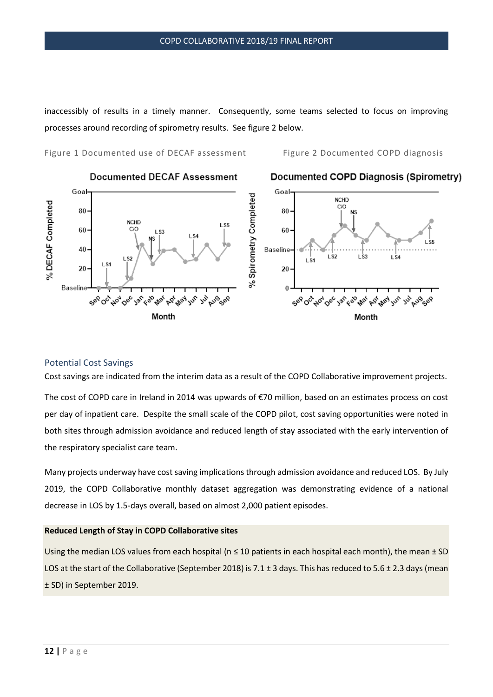inaccessibly of results in a timely manner. Consequently, some teams selected to focus on improving processes around recording of spirometry results. See figure 2 below.

Figure 1 Documented use of DECAF assessment Figure 2 Documented COPD diagnosis



## Potential Cost Savings

Cost savings are indicated from the interim data as a result of the COPD Collaborative improvement projects.

The cost of COPD care in Ireland in 2014 was upwards of €70 million, based on an estimates process on cost per day of inpatient care. Despite the small scale of the COPD pilot, cost saving opportunities were noted in both sites through admission avoidance and reduced length of stay associated with the early intervention of the respiratory specialist care team.

Many projects underway have cost saving implications through admission avoidance and reduced LOS. By July 2019, the COPD Collaborative monthly dataset aggregation was demonstrating evidence of a national decrease in LOS by 1.5-days overall, based on almost 2,000 patient episodes.

#### **Reduced Length of Stay in COPD Collaborative sites**

Using the median LOS values from each hospital ( $n \le 10$  patients in each hospital each month), the mean  $\pm$  SD LOS at the start of the Collaborative (September 2018) is 7.1 ± 3 days. This has reduced to 5.6 ± 2.3 days (mean ± SD) in September 2019.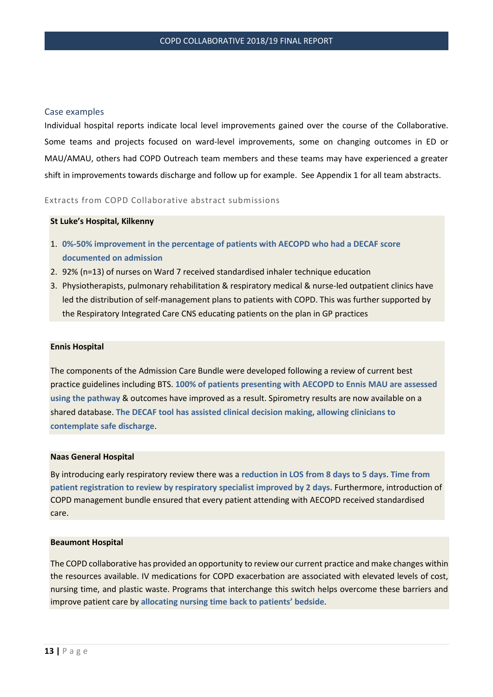#### Case examples

Individual hospital reports indicate local level improvements gained over the course of the Collaborative. Some teams and projects focused on ward-level improvements, some on changing outcomes in ED or MAU/AMAU, others had COPD Outreach team members and these teams may have experienced a greater shift in improvements towards discharge and follow up for example. See Appendix 1 for all team abstracts.

#### Extracts from COPD Collaborative abstract submissions

#### **St Luke's Hospital, Kilkenny**

- 1. **0%-50% improvement in the percentage of patients with AECOPD who had a DECAF score documented on admission**
- 2. 92% (n=13) of nurses on Ward 7 received standardised inhaler technique education
- 3. Physiotherapists, pulmonary rehabilitation & respiratory medical & nurse-led outpatient clinics have led the distribution of self-management plans to patients with COPD. This was further supported by the Respiratory Integrated Care CNS educating patients on the plan in GP practices

#### **Ennis Hospital**

The components of the Admission Care Bundle were developed following a review of current best practice guidelines including BTS. **100% of patients presenting with AECOPD to Ennis MAU are assessed using the pathway** & outcomes have improved as a result. Spirometry results are now available on a shared database. **The DECAF tool has assisted clinical decision making, allowing clinicians to contemplate safe discharge**.

#### **Naas General Hospital**

By introducing early respiratory review there was a **reduction in LOS from 8 days to 5 days**. **Time from patient registration to review by respiratory specialist improved by 2 days.** Furthermore, introduction of COPD management bundle ensured that every patient attending with AECOPD received standardised care.

#### **Beaumont Hospital**

The COPD collaborative has provided an opportunity to review our current practice and make changes within the resources available. IV medications for COPD exacerbation are associated with elevated levels of cost, nursing time, and plastic waste. Programs that interchange this switch helps overcome these barriers and improve patient care by **allocating nursing time back to patients' bedside**.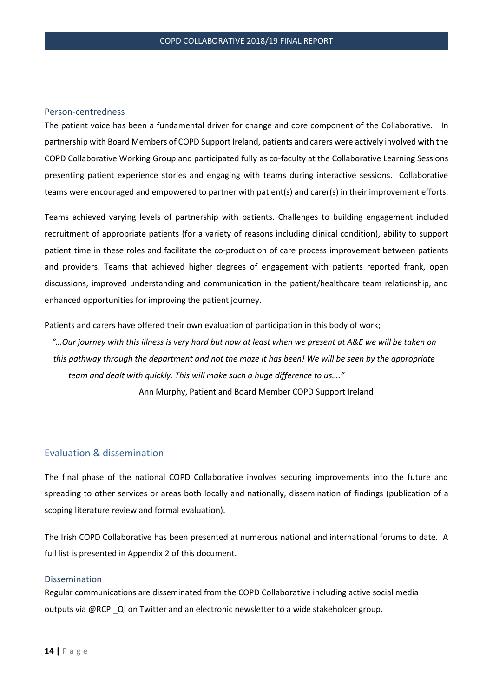#### Person-centredness

The patient voice has been a fundamental driver for change and core component of the Collaborative. In partnership with Board Members of COPD Support Ireland, patients and carers were actively involved with the COPD Collaborative Working Group and participated fully as co-faculty at the Collaborative Learning Sessions presenting patient experience stories and engaging with teams during interactive sessions. Collaborative teams were encouraged and empowered to partner with patient(s) and carer(s) in their improvement efforts.

Teams achieved varying levels of partnership with patients. Challenges to building engagement included recruitment of appropriate patients (for a variety of reasons including clinical condition), ability to support patient time in these roles and facilitate the co-production of care process improvement between patients and providers. Teams that achieved higher degrees of engagement with patients reported frank, open discussions, improved understanding and communication in the patient/healthcare team relationship, and enhanced opportunities for improving the patient journey.

Patients and carers have offered their own evaluation of participation in this body of work;

*"…Our journey with this illness is very hard but now at least when we present at A&E we will be taken on this pathway through the department and not the maze it has been! We will be seen by the appropriate team and dealt with quickly. This will make such a huge difference to us…."* 

Ann Murphy, Patient and Board Member COPD Support Ireland

#### <span id="page-13-0"></span>Evaluation & dissemination

The final phase of the national COPD Collaborative involves securing improvements into the future and spreading to other services or areas both locally and nationally, dissemination of findings (publication of a scoping literature review and formal evaluation).

The Irish COPD Collaborative has been presented at numerous national and international forums to date. A full list is presented in Appendix 2 of this document.

#### Dissemination

Regular communications are disseminated from the COPD Collaborative including active social media outputs via @RCPI\_QI on Twitter and an electronic newsletter to a wide stakeholder group.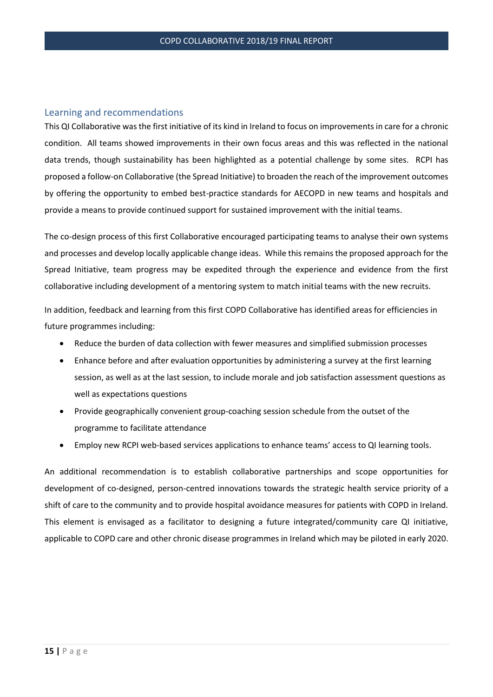#### <span id="page-14-0"></span>Learning and recommendations

This QI Collaborative was the first initiative of its kind in Ireland to focus on improvements in care for a chronic condition. All teams showed improvements in their own focus areas and this was reflected in the national data trends, though sustainability has been highlighted as a potential challenge by some sites. RCPI has proposed a follow-on Collaborative (the Spread Initiative) to broaden the reach of the improvement outcomes by offering the opportunity to embed best-practice standards for AECOPD in new teams and hospitals and provide a means to provide continued support for sustained improvement with the initial teams.

The co-design process of this first Collaborative encouraged participating teams to analyse their own systems and processes and develop locally applicable change ideas. While this remains the proposed approach for the Spread Initiative, team progress may be expedited through the experience and evidence from the first collaborative including development of a mentoring system to match initial teams with the new recruits.

In addition, feedback and learning from this first COPD Collaborative has identified areas for efficiencies in future programmes including:

- Reduce the burden of data collection with fewer measures and simplified submission processes
- Enhance before and after evaluation opportunities by administering a survey at the first learning session, as well as at the last session, to include morale and job satisfaction assessment questions as well as expectations questions
- Provide geographically convenient group-coaching session schedule from the outset of the programme to facilitate attendance
- Employ new RCPI web-based services applications to enhance teams' access to QI learning tools.

An additional recommendation is to establish collaborative partnerships and scope opportunities for development of co-designed, person-centred innovations towards the strategic health service priority of a shift of care to the community and to provide hospital avoidance measures for patients with COPD in Ireland. This element is envisaged as a facilitator to designing a future integrated/community care QI initiative, applicable to COPD care and other chronic disease programmes in Ireland which may be piloted in early 2020.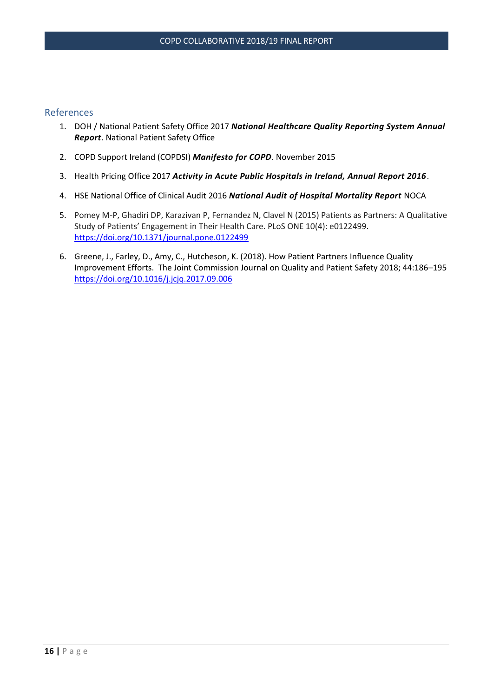# <span id="page-15-0"></span>References

- 1. DOH / National Patient Safety Office 2017 *National Healthcare Quality Reporting System Annual Report*. National Patient Safety Office
- 2. COPD Support Ireland (COPDSI) *Manifesto for COPD*. November 2015
- 3. Health Pricing Office 2017 *Activity in Acute Public Hospitals in Ireland, Annual Report 2016*.
- 4. HSE National Office of Clinical Audit 2016 *National Audit of Hospital Mortality Report* NOCA
- 5. Pomey M-P, Ghadiri DP, Karazivan P, Fernandez N, Clavel N (2015) Patients as Partners: A Qualitative Study of Patients' Engagement in Their Health Care. PLoS ONE 10(4): e0122499. <https://doi.org/10.1371/journal.pone.0122499>
- 6. Greene, J., Farley, D., Amy, C., Hutcheson, K. (2018). How Patient Partners Influence Quality Improvement Efforts. The Joint Commission Journal on Quality and Patient Safety 2018; 44:186–195 <https://doi.org/10.1016/j.jcjq.2017.09.006>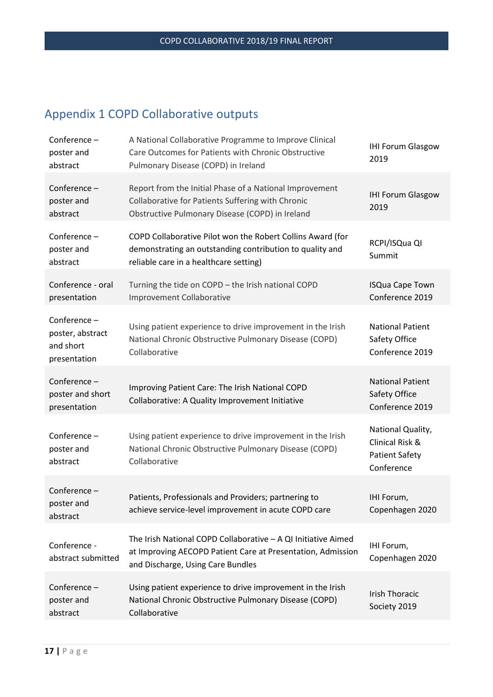# <span id="page-16-0"></span>Appendix 1 COPD Collaborative outputs

| Conference -<br>poster and<br>abstract                       | A National Collaborative Programme to Improve Clinical<br>Care Outcomes for Patients with Chronic Obstructive<br>Pulmonary Disease (COPD) in Ireland              | <b>IHI Forum Glasgow</b><br>2019                                            |
|--------------------------------------------------------------|-------------------------------------------------------------------------------------------------------------------------------------------------------------------|-----------------------------------------------------------------------------|
| Conference-<br>poster and<br>abstract                        | Report from the Initial Phase of a National Improvement<br>Collaborative for Patients Suffering with Chronic<br>Obstructive Pulmonary Disease (COPD) in Ireland   | <b>IHI Forum Glasgow</b><br>2019                                            |
| Conference-<br>poster and<br>abstract                        | COPD Collaborative Pilot won the Robert Collins Award (for<br>demonstrating an outstanding contribution to quality and<br>reliable care in a healthcare setting)  | RCPI/ISQua QI<br>Summit                                                     |
| Conference - oral<br>presentation                            | Turning the tide on COPD - the Irish national COPD<br><b>Improvement Collaborative</b>                                                                            | <b>ISQua Cape Town</b><br>Conference 2019                                   |
| Conference-<br>poster, abstract<br>and short<br>presentation | Using patient experience to drive improvement in the Irish<br>National Chronic Obstructive Pulmonary Disease (COPD)<br>Collaborative                              | <b>National Patient</b><br>Safety Office<br>Conference 2019                 |
| Conference-<br>poster and short<br>presentation              | Improving Patient Care: The Irish National COPD<br>Collaborative: A Quality Improvement Initiative                                                                | <b>National Patient</b><br>Safety Office<br>Conference 2019                 |
| Conference-<br>poster and<br>abstract                        | Using patient experience to drive improvement in the Irish<br>National Chronic Obstructive Pulmonary Disease (COPD)<br>Collaborative                              | National Quality,<br>Clinical Risk &<br><b>Patient Safety</b><br>Conference |
| Conference -<br>poster and<br>abstract                       | Patients, Professionals and Providers; partnering to<br>achieve service-level improvement in acute COPD care                                                      | IHI Forum,<br>Copenhagen 2020                                               |
| Conference -<br>abstract submitted                           | The Irish National COPD Collaborative - A QI Initiative Aimed<br>at Improving AECOPD Patient Care at Presentation, Admission<br>and Discharge, Using Care Bundles | IHI Forum,<br>Copenhagen 2020                                               |
| Conference-<br>poster and<br>abstract                        | Using patient experience to drive improvement in the Irish<br>National Chronic Obstructive Pulmonary Disease (COPD)<br>Collaborative                              | <b>Irish Thoracic</b><br>Society 2019                                       |
|                                                              |                                                                                                                                                                   |                                                                             |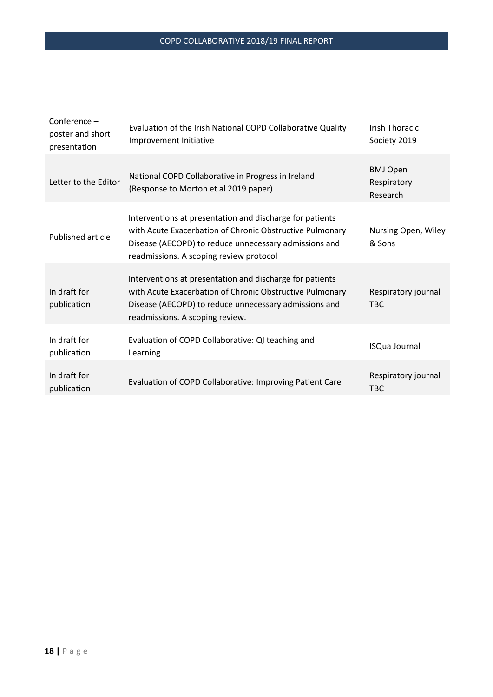| $Conference -$<br>poster and short<br>presentation | Evaluation of the Irish National COPD Collaborative Quality<br>Improvement Initiative                                                                                                                                    | <b>Irish Thoracic</b><br>Society 2019      |
|----------------------------------------------------|--------------------------------------------------------------------------------------------------------------------------------------------------------------------------------------------------------------------------|--------------------------------------------|
| Letter to the Editor                               | National COPD Collaborative in Progress in Ireland<br>(Response to Morton et al 2019 paper)                                                                                                                              | <b>BMJ Open</b><br>Respiratory<br>Research |
| <b>Published article</b>                           | Interventions at presentation and discharge for patients<br>with Acute Exacerbation of Chronic Obstructive Pulmonary<br>Disease (AECOPD) to reduce unnecessary admissions and<br>readmissions. A scoping review protocol | Nursing Open, Wiley<br>& Sons              |
| In draft for<br>publication                        | Interventions at presentation and discharge for patients<br>with Acute Exacerbation of Chronic Obstructive Pulmonary<br>Disease (AECOPD) to reduce unnecessary admissions and<br>readmissions. A scoping review.         | Respiratory journal<br><b>TBC</b>          |
| In draft for<br>publication                        | Evaluation of COPD Collaborative: QI teaching and<br>Learning                                                                                                                                                            | <b>ISQua Journal</b>                       |
| In draft for<br>publication                        | Evaluation of COPD Collaborative: Improving Patient Care                                                                                                                                                                 | Respiratory journal<br><b>TBC</b>          |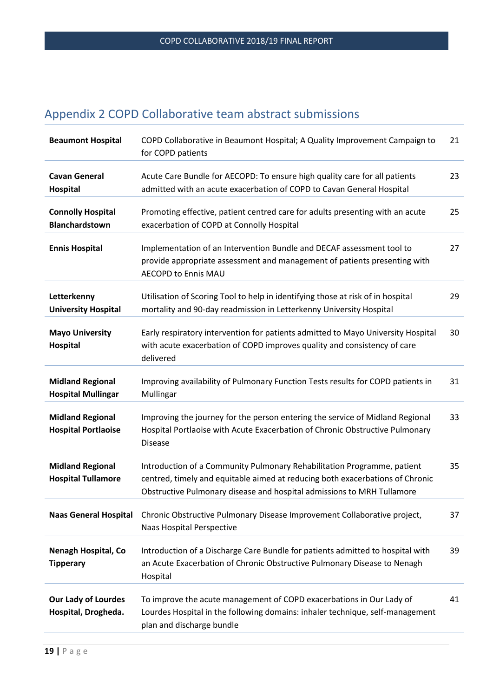# <span id="page-18-0"></span>Appendix 2 COPD Collaborative team abstract submissions

| <b>Beaumont Hospital</b>                              | COPD Collaborative in Beaumont Hospital; A Quality Improvement Campaign to<br>for COPD patients                                                                                                                                    | 21 |
|-------------------------------------------------------|------------------------------------------------------------------------------------------------------------------------------------------------------------------------------------------------------------------------------------|----|
| <b>Cavan General</b><br>Hospital                      | Acute Care Bundle for AECOPD: To ensure high quality care for all patients<br>admitted with an acute exacerbation of COPD to Cavan General Hospital                                                                                | 23 |
| <b>Connolly Hospital</b><br><b>Blanchardstown</b>     | Promoting effective, patient centred care for adults presenting with an acute<br>exacerbation of COPD at Connolly Hospital                                                                                                         | 25 |
| <b>Ennis Hospital</b>                                 | Implementation of an Intervention Bundle and DECAF assessment tool to<br>provide appropriate assessment and management of patients presenting with<br><b>AECOPD to Ennis MAU</b>                                                   | 27 |
| Letterkenny<br><b>University Hospital</b>             | Utilisation of Scoring Tool to help in identifying those at risk of in hospital<br>mortality and 90-day readmission in Letterkenny University Hospital                                                                             | 29 |
| <b>Mayo University</b><br>Hospital                    | Early respiratory intervention for patients admitted to Mayo University Hospital<br>with acute exacerbation of COPD improves quality and consistency of care<br>delivered                                                          | 30 |
| <b>Midland Regional</b><br><b>Hospital Mullingar</b>  | Improving availability of Pulmonary Function Tests results for COPD patients in<br>Mullingar                                                                                                                                       | 31 |
| <b>Midland Regional</b><br><b>Hospital Portlaoise</b> | Improving the journey for the person entering the service of Midland Regional<br>Hospital Portlaoise with Acute Exacerbation of Chronic Obstructive Pulmonary<br><b>Disease</b>                                                    | 33 |
| <b>Midland Regional</b><br><b>Hospital Tullamore</b>  | Introduction of a Community Pulmonary Rehabilitation Programme, patient<br>centred, timely and equitable aimed at reducing both exacerbations of Chronic<br>Obstructive Pulmonary disease and hospital admissions to MRH Tullamore | 35 |
| <b>Naas General Hospital</b>                          | Chronic Obstructive Pulmonary Disease Improvement Collaborative project,<br>Naas Hospital Perspective                                                                                                                              | 37 |
| <b>Nenagh Hospital, Co</b><br><b>Tipperary</b>        | Introduction of a Discharge Care Bundle for patients admitted to hospital with<br>an Acute Exacerbation of Chronic Obstructive Pulmonary Disease to Nenagh<br>Hospital                                                             | 39 |
| <b>Our Lady of Lourdes</b><br>Hospital, Drogheda.     | To improve the acute management of COPD exacerbations in Our Lady of<br>Lourdes Hospital in the following domains: inhaler technique, self-management<br>plan and discharge bundle                                                 | 41 |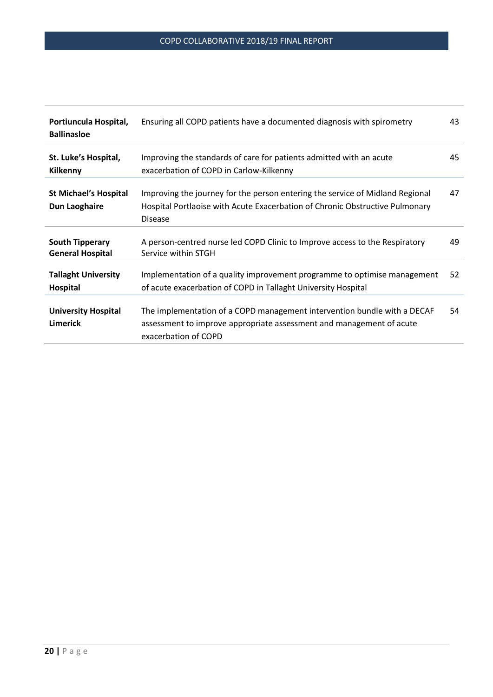| Portiuncula Hospital,<br><b>Ballinasloe</b>       | Ensuring all COPD patients have a documented diagnosis with spirometry                                                                                                          | 43 |
|---------------------------------------------------|---------------------------------------------------------------------------------------------------------------------------------------------------------------------------------|----|
| St. Luke's Hospital,<br><b>Kilkenny</b>           | Improving the standards of care for patients admitted with an acute<br>exacerbation of COPD in Carlow-Kilkenny                                                                  | 45 |
| <b>St Michael's Hospital</b><br>Dun Laoghaire     | Improving the journey for the person entering the service of Midland Regional<br>Hospital Portlaoise with Acute Exacerbation of Chronic Obstructive Pulmonary<br><b>Disease</b> | 47 |
| <b>South Tipperary</b><br><b>General Hospital</b> | A person-centred nurse led COPD Clinic to Improve access to the Respiratory<br>Service within STGH                                                                              | 49 |
| <b>Tallaght University</b><br><b>Hospital</b>     | Implementation of a quality improvement programme to optimise management<br>of acute exacerbation of COPD in Tallaght University Hospital                                       | 52 |
| <b>University Hospital</b><br>Limerick            | The implementation of a COPD management intervention bundle with a DECAF<br>assessment to improve appropriate assessment and management of acute<br>exacerbation of COPD        | 54 |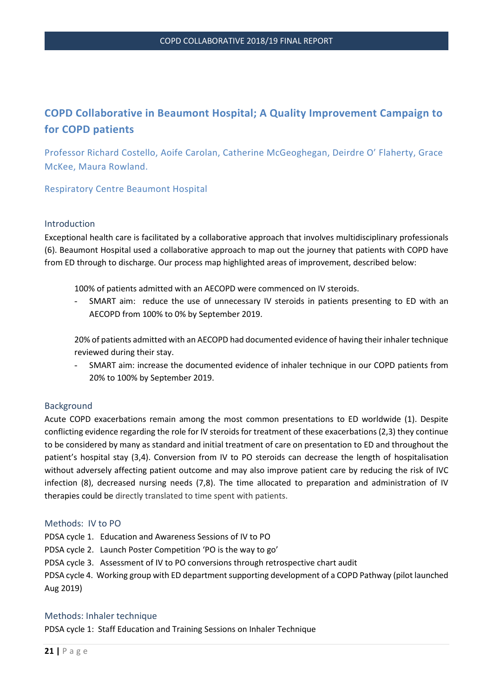# **COPD Collaborative in Beaumont Hospital; A Quality Improvement Campaign to for COPD patients**

Professor Richard Costello, Aoife Carolan, Catherine McGeoghegan, Deirdre O' Flaherty, Grace McKee, Maura Rowland.

Respiratory Centre Beaumont Hospital

#### Introduction

Exceptional health care is facilitated by a collaborative approach that involves multidisciplinary professionals (6). Beaumont Hospital used a collaborative approach to map out the journey that patients with COPD have from ED through to discharge. Our process map highlighted areas of improvement, described below:

100% of patients admitted with an AECOPD were commenced on IV steroids.

- SMART aim: reduce the use of unnecessary IV steroids in patients presenting to ED with an AECOPD from 100% to 0% by September 2019.

20% of patients admitted with an AECOPD had documented evidence of having their inhaler technique reviewed during their stay.

- SMART aim: increase the documented evidence of inhaler technique in our COPD patients from 20% to 100% by September 2019.

# Background

Acute COPD exacerbations remain among the most common presentations to ED worldwide (1). Despite conflicting evidence regarding the role for IV steroids for treatment of these exacerbations (2,3) they continue to be considered by many as standard and initial treatment of care on presentation to ED and throughout the patient's hospital stay (3,4). Conversion from IV to PO steroids can decrease the length of hospitalisation without adversely affecting patient outcome and may also improve patient care by reducing the risk of IVC infection (8), decreased nursing needs (7,8). The time allocated to preparation and administration of IV therapies could be directly translated to time spent with patients.

#### Methods: IV to PO

PDSA cycle 1. Education and Awareness Sessions of IV to PO

PDSA cycle 2. Launch Poster Competition 'PO is the way to go'

PDSA cycle 3. Assessment of IV to PO conversions through retrospective chart audit

PDSA cycle 4. Working group with ED department supporting development of a COPD Pathway (pilot launched Aug 2019)

#### Methods: Inhaler technique

PDSA cycle 1: Staff Education and Training Sessions on Inhaler Technique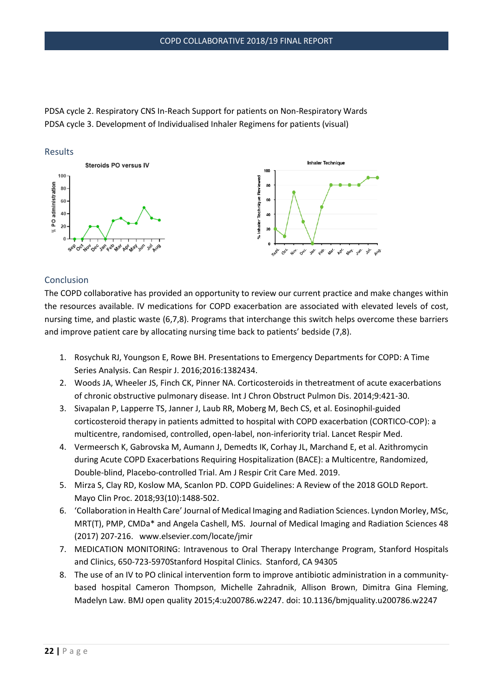PDSA cycle 2. Respiratory CNS In-Reach Support for patients on Non-Respiratory Wards PDSA cycle 3. Development of Individualised Inhaler Regimens for patients (visual)



#### Conclusion

The COPD collaborative has provided an opportunity to review our current practice and make changes within the resources available. IV medications for COPD exacerbation are associated with elevated levels of cost, nursing time, and plastic waste (6,7,8). Programs that interchange this switch helps overcome these barriers and improve patient care by allocating nursing time back to patients' bedside (7,8).

- 1. Rosychuk RJ, Youngson E, Rowe BH. Presentations to Emergency Departments for COPD: A Time Series Analysis. Can Respir J. 2016;2016:1382434.
- 2. Woods JA, Wheeler JS, Finch CK, Pinner NA. Corticosteroids in thetreatment of acute exacerbations of chronic obstructive pulmonary disease. Int J Chron Obstruct Pulmon Dis. 2014;9:421-30.
- 3. Sivapalan P, Lapperre TS, Janner J, Laub RR, Moberg M, Bech CS, et al. Eosinophil-guided corticosteroid therapy in patients admitted to hospital with COPD exacerbation (CORTICO-COP): a multicentre, randomised, controlled, open-label, non-inferiority trial. Lancet Respir Med.
- 4. Vermeersch K, Gabrovska M, Aumann J, Demedts IK, Corhay JL, Marchand E, et al. Azithromycin during Acute COPD Exacerbations Requiring Hospitalization (BACE): a Multicentre, Randomized, Double-blind, Placebo-controlled Trial. Am J Respir Crit Care Med. 2019.
- 5. Mirza S, Clay RD, Koslow MA, Scanlon PD. COPD Guidelines: A Review of the 2018 GOLD Report. Mayo Clin Proc. 2018;93(10):1488-502.
- 6. 'Collaboration in Health Care' Journal of Medical Imaging and Radiation Sciences. Lyndon Morley, MSc, MRT(T), PMP, CMDa\* and Angela Cashell, MS. Journal of Medical Imaging and Radiation Sciences 48 (2017) 207-216. www.elsevier.com/locate/jmir
- 7. MEDICATION MONITORING: Intravenous to Oral Therapy Interchange Program, Stanford Hospitals and Clinics, 650-723-5970Stanford Hospital Clinics. Stanford, CA 94305
- 8. The use of an IV to PO clinical intervention form to improve antibiotic administration in a communitybased hospital Cameron Thompson, Michelle Zahradnik, Allison Brown, Dimitra Gina Fleming, Madelyn Law. BMJ open quality 2015;4:u200786.w2247. doi: 10.1136/bmjquality.u200786.w2247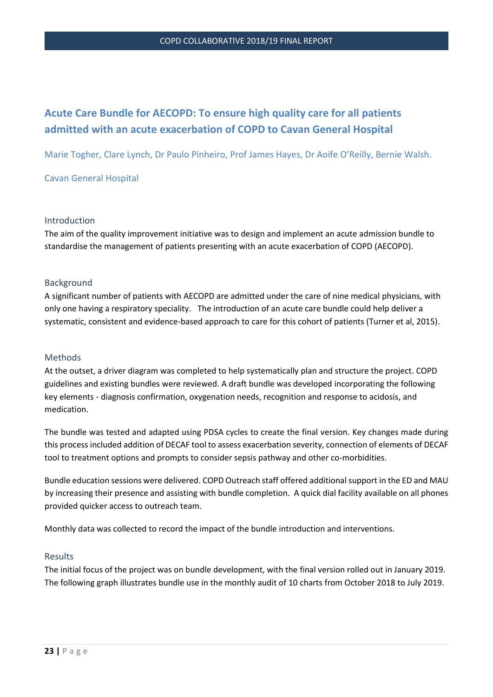# **Acute Care Bundle for AECOPD: To ensure high quality care for all patients admitted with an acute exacerbation of COPD to Cavan General Hospital**

Marie Togher, Clare Lynch, Dr Paulo Pinheiro, Prof James Hayes, Dr Aoife O'Reilly, Bernie Walsh.

#### Cavan General Hospital

#### Introduction

The aim of the quality improvement initiative was to design and implement an acute admission bundle to standardise the management of patients presenting with an acute exacerbation of COPD (AECOPD).

#### Background

A significant number of patients with AECOPD are admitted under the care of nine medical physicians, with only one having a respiratory speciality. The introduction of an acute care bundle could help deliver a systematic, consistent and evidence-based approach to care for this cohort of patients (Turner et al, 2015).

#### Methods

At the outset, a driver diagram was completed to help systematically plan and structure the project. COPD guidelines and existing bundles were reviewed. A draft bundle was developed incorporating the following key elements - diagnosis confirmation, oxygenation needs, recognition and response to acidosis, and medication.

The bundle was tested and adapted using PDSA cycles to create the final version. Key changes made during this process included addition of DECAF tool to assess exacerbation severity, connection of elements of DECAF tool to treatment options and prompts to consider sepsis pathway and other co-morbidities.

Bundle education sessions were delivered. COPD Outreach staff offered additional support in the ED and MAU by increasing their presence and assisting with bundle completion. A quick dial facility available on all phones provided quicker access to outreach team.

Monthly data was collected to record the impact of the bundle introduction and interventions.

#### Results

The initial focus of the project was on bundle development, with the final version rolled out in January 2019. The following graph illustrates bundle use in the monthly audit of 10 charts from October 2018 to July 2019.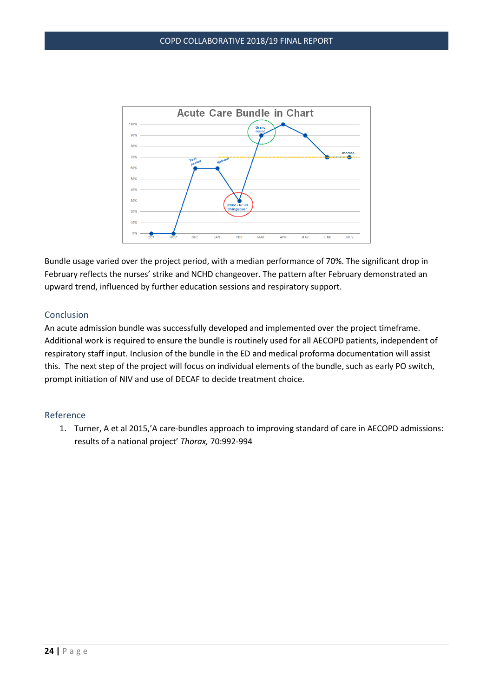

Bundle usage varied over the project period, with a median performance of 70%. The significant drop in February reflects the nurses' strike and NCHD changeover. The pattern after February demonstrated an upward trend, influenced by further education sessions and respiratory support.

# Conclusion

An acute admission bundle was successfully developed and implemented over the project timeframe. Additional work is required to ensure the bundle is routinely used for all AECOPD patients, independent of respiratory staff input. Inclusion of the bundle in the ED and medical proforma documentation will assist this. The next step of the project will focus on individual elements of the bundle, such as early PO switch, prompt initiation of NIV and use of DECAF to decide treatment choice.

#### Reference

1. Turner, A et al 2015,'A care-bundles approach to improving standard of care in AECOPD admissions: results of a national project' *Thorax,* 70:992-994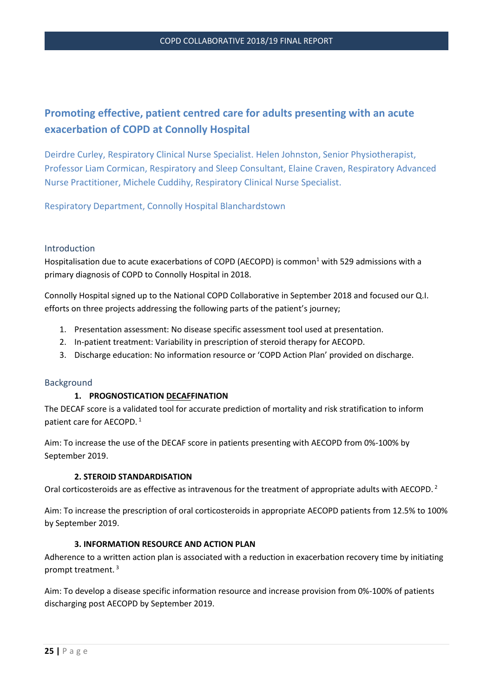# **Promoting effective, patient centred care for adults presenting with an acute exacerbation of COPD at Connolly Hospital**

Deirdre Curley, Respiratory Clinical Nurse Specialist. Helen Johnston, Senior Physiotherapist, Professor Liam Cormican, Respiratory and Sleep Consultant, Elaine Craven, Respiratory Advanced Nurse Practitioner, Michele Cuddihy, Respiratory Clinical Nurse Specialist.

Respiratory Department, Connolly Hospital Blanchardstown

#### Introduction

Hospitalisation due to acute exacerbations of COPD (AECOPD) is common<sup>1</sup> with 529 admissions with a primary diagnosis of COPD to Connolly Hospital in 2018.

Connolly Hospital signed up to the National COPD Collaborative in September 2018 and focused our Q.I. efforts on three projects addressing the following parts of the patient's journey;

- 1. Presentation assessment: No disease specific assessment tool used at presentation.
- 2. In-patient treatment: Variability in prescription of steroid therapy for AECOPD.
- 3. Discharge education: No information resource or 'COPD Action Plan' provided on discharge.

#### Background

#### **1. PROGNOSTICATION DECAFFINATION**

The DECAF score is a validated tool for accurate prediction of mortality and risk stratification to inform patient care for AECOPD.<sup>1</sup>

Aim: To increase the use of the DECAF score in patients presenting with AECOPD from 0%-100% by September 2019.

#### **2. STEROID STANDARDISATION**

Oral corticosteroids are as effective as intravenous for the treatment of appropriate adults with AECOPD.<sup>2</sup>

Aim: To increase the prescription of oral corticosteroids in appropriate AECOPD patients from 12.5% to 100% by September 2019.

#### **3. INFORMATION RESOURCE AND ACTION PLAN**

Adherence to a written action plan is associated with a reduction in exacerbation recovery time by initiating prompt treatment. <sup>3</sup>

Aim: To develop a disease specific information resource and increase provision from 0%-100% of patients discharging post AECOPD by September 2019.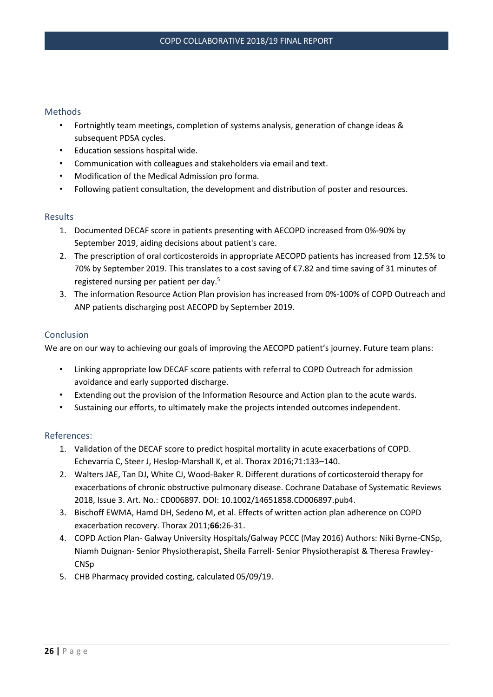# Methods

- Fortnightly team meetings, completion of systems analysis, generation of change ideas & subsequent PDSA cycles.
- Education sessions hospital wide.
- Communication with colleagues and stakeholders via email and text.
- Modification of the Medical Admission pro forma.
- Following patient consultation, the development and distribution of poster and resources.

#### Results

- 1. Documented DECAF score in patients presenting with AECOPD increased from 0%-90% by September 2019, aiding decisions about patient's care.
- 2. The prescription of oral corticosteroids in appropriate AECOPD patients has increased from 12.5% to 70% by September 2019. This translates to a cost saving of €7.82 and time saving of 31 minutes of registered nursing per patient per day.<sup>5</sup>
- 3. The information Resource Action Plan provision has increased from 0%-100% of COPD Outreach and ANP patients discharging post AECOPD by September 2019.

#### Conclusion

We are on our way to achieving our goals of improving the AECOPD patient's journey. Future team plans:

- Linking appropriate low DECAF score patients with referral to COPD Outreach for admission avoidance and early supported discharge.
- Extending out the provision of the Information Resource and Action plan to the acute wards.
- Sustaining our efforts, to ultimately make the projects intended outcomes independent.

#### References:

- 1. Validation of the DECAF score to predict hospital mortality in acute exacerbations of COPD. Echevarria C, Steer J, Heslop-Marshall K, et al. Thorax 2016;71:133–140.
- 2. Walters JAE, Tan DJ, White CJ, Wood‐Baker R. Different durations of corticosteroid therapy for exacerbations of chronic obstructive pulmonary disease. Cochrane Database of Systematic Reviews 2018, Issue 3. Art. No.: CD006897. DOI: 10.1002/14651858.CD006897.pub4.
- 3. Bischoff EWMA, Hamd DH, Sedeno M, et al. Effects of written action plan adherence on COPD exacerbation recovery. Thorax 2011;**66:**26-31.
- 4. COPD Action Plan- Galway University Hospitals/Galway PCCC (May 2016) Authors: Niki Byrne-CNSp, Niamh Duignan- Senior Physiotherapist, Sheila Farrell- Senior Physiotherapist & Theresa Frawley-**CNSp**
- 5. CHB Pharmacy provided costing, calculated 05/09/19.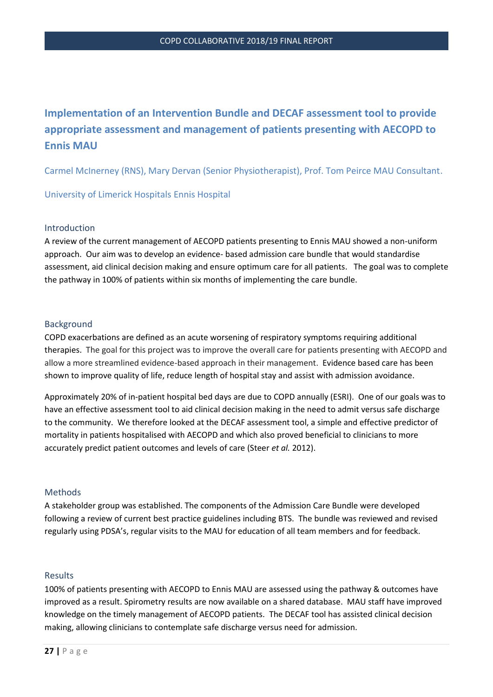# **Implementation of an Intervention Bundle and DECAF assessment tool to provide appropriate assessment and management of patients presenting with AECOPD to Ennis MAU**

Carmel McInerney (RNS), Mary Dervan (Senior Physiotherapist), Prof. Tom Peirce MAU Consultant.

University of Limerick Hospitals Ennis Hospital

## Introduction

A review of the current management of AECOPD patients presenting to Ennis MAU showed a non-uniform approach. Our aim was to develop an evidence- based admission care bundle that would standardise assessment, aid clinical decision making and ensure optimum care for all patients. The goal was to complete the pathway in 100% of patients within six months of implementing the care bundle.

## Background

COPD exacerbations are defined as an acute worsening of respiratory symptoms requiring additional therapies. The goal for this project was to improve the overall care for patients presenting with AECOPD and allow a more streamlined evidence-based approach in their management. Evidence based care has been shown to improve quality of life, reduce length of hospital stay and assist with admission avoidance.

Approximately 20% of in-patient hospital bed days are due to COPD annually (ESRI). One of our goals was to have an effective assessment tool to aid clinical decision making in the need to admit versus safe discharge to the community. We therefore looked at the DECAF assessment tool, a simple and effective predictor of mortality in patients hospitalised with AECOPD and which also proved beneficial to clinicians to more accurately predict patient outcomes and levels of care (Steer *et al.* 2012).

#### Methods

A stakeholder group was established. The components of the Admission Care Bundle were developed following a review of current best practice guidelines including BTS. The bundle was reviewed and revised regularly using PDSA's, regular visits to the MAU for education of all team members and for feedback.

#### Results

100% of patients presenting with AECOPD to Ennis MAU are assessed using the pathway & outcomes have improved as a result. Spirometry results are now available on a shared database. MAU staff have improved knowledge on the timely management of AECOPD patients. The DECAF tool has assisted clinical decision making, allowing clinicians to contemplate safe discharge versus need for admission.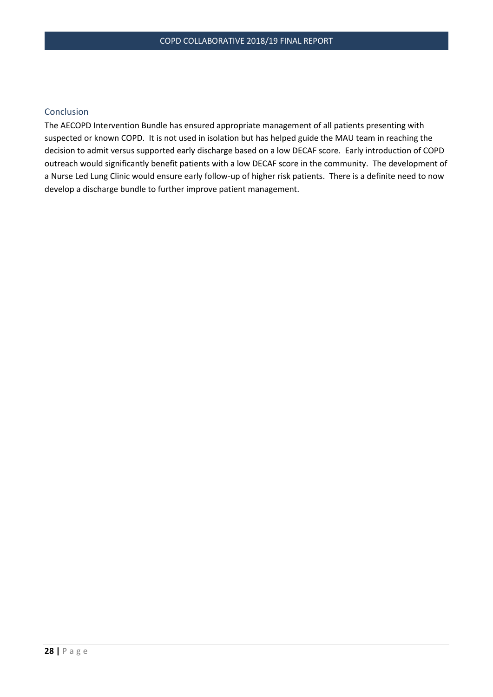## Conclusion

The AECOPD Intervention Bundle has ensured appropriate management of all patients presenting with suspected or known COPD. It is not used in isolation but has helped guide the MAU team in reaching the decision to admit versus supported early discharge based on a low DECAF score. Early introduction of COPD outreach would significantly benefit patients with a low DECAF score in the community. The development of a Nurse Led Lung Clinic would ensure early follow-up of higher risk patients. There is a definite need to now develop a discharge bundle to further improve patient management.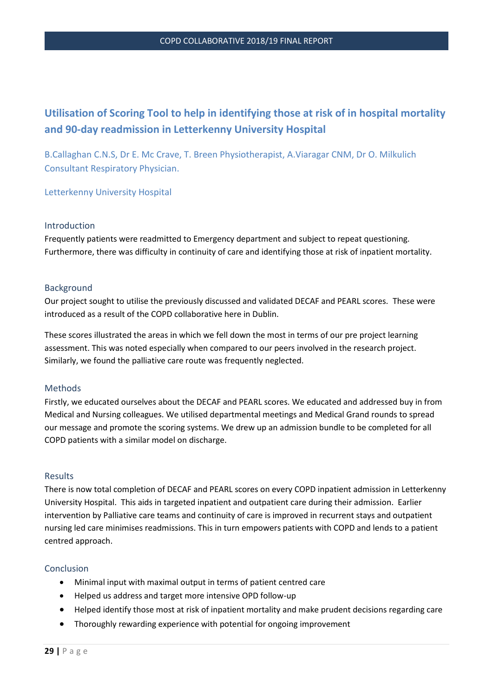# **Utilisation of Scoring Tool to help in identifying those at risk of in hospital mortality and 90-day readmission in Letterkenny University Hospital**

B.Callaghan C.N.S, Dr E. Mc Crave, T. Breen Physiotherapist, A.Viaragar CNM, Dr O. Milkulich Consultant Respiratory Physician.

Letterkenny University Hospital

#### Introduction

Frequently patients were readmitted to Emergency department and subject to repeat questioning. Furthermore, there was difficulty in continuity of care and identifying those at risk of inpatient mortality.

## **Background**

Our project sought to utilise the previously discussed and validated DECAF and PEARL scores. These were introduced as a result of the COPD collaborative here in Dublin.

These scores illustrated the areas in which we fell down the most in terms of our pre project learning assessment. This was noted especially when compared to our peers involved in the research project. Similarly, we found the palliative care route was frequently neglected.

#### **Methods**

Firstly, we educated ourselves about the DECAF and PEARL scores. We educated and addressed buy in from Medical and Nursing colleagues. We utilised departmental meetings and Medical Grand rounds to spread our message and promote the scoring systems. We drew up an admission bundle to be completed for all COPD patients with a similar model on discharge.

#### Results

There is now total completion of DECAF and PEARL scores on every COPD inpatient admission in Letterkenny University Hospital. This aids in targeted inpatient and outpatient care during their admission. Earlier intervention by Palliative care teams and continuity of care is improved in recurrent stays and outpatient nursing led care minimises readmissions. This in turn empowers patients with COPD and lends to a patient centred approach.

#### Conclusion

- Minimal input with maximal output in terms of patient centred care
- Helped us address and target more intensive OPD follow-up
- Helped identify those most at risk of inpatient mortality and make prudent decisions regarding care
- Thoroughly rewarding experience with potential for ongoing improvement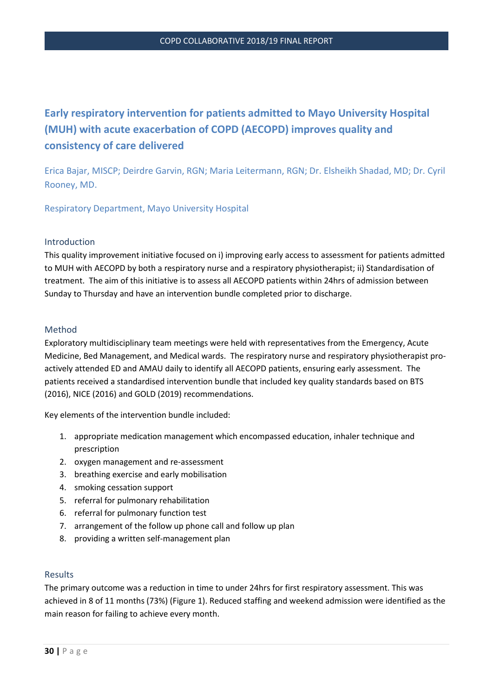# **Early respiratory intervention for patients admitted to Mayo University Hospital (MUH) with acute exacerbation of COPD (AECOPD) improves quality and consistency of care delivered**

Erica Bajar, MISCP; Deirdre Garvin, RGN; Maria Leitermann, RGN; Dr. Elsheikh Shadad, MD; Dr. Cyril Rooney, MD.

Respiratory Department, Mayo University Hospital

#### Introduction

This quality improvement initiative focused on i) improving early access to assessment for patients admitted to MUH with AECOPD by both a respiratory nurse and a respiratory physiotherapist; ii) Standardisation of treatment. The aim of this initiative is to assess all AECOPD patients within 24hrs of admission between Sunday to Thursday and have an intervention bundle completed prior to discharge.

## Method

Exploratory multidisciplinary team meetings were held with representatives from the Emergency, Acute Medicine, Bed Management, and Medical wards. The respiratory nurse and respiratory physiotherapist proactively attended ED and AMAU daily to identify all AECOPD patients, ensuring early assessment. The patients received a standardised intervention bundle that included key quality standards based on BTS (2016), NICE (2016) and GOLD (2019) recommendations.

Key elements of the intervention bundle included:

- 1. appropriate medication management which encompassed education, inhaler technique and prescription
- 2. oxygen management and re-assessment
- 3. breathing exercise and early mobilisation
- 4. smoking cessation support
- 5. referral for pulmonary rehabilitation
- 6. referral for pulmonary function test
- 7. arrangement of the follow up phone call and follow up plan
- 8. providing a written self-management plan

## Results

The primary outcome was a reduction in time to under 24hrs for first respiratory assessment. This was achieved in 8 of 11 months (73%) (Figure 1). Reduced staffing and weekend admission were identified as the main reason for failing to achieve every month.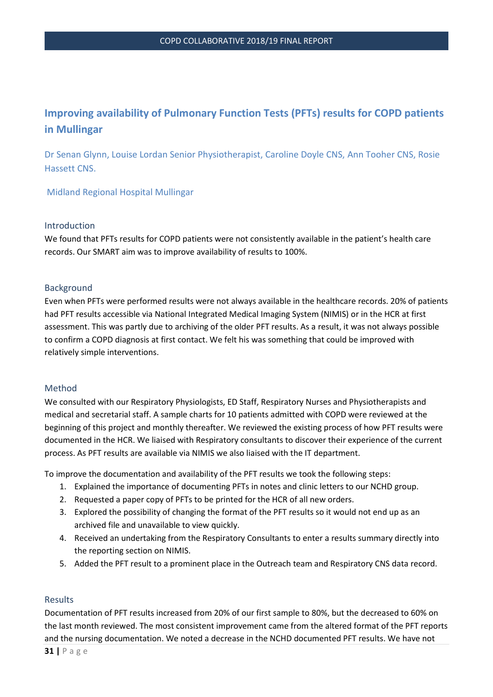# **Improving availability of Pulmonary Function Tests (PFTs) results for COPD patients in Mullingar**

Dr Senan Glynn, Louise Lordan Senior Physiotherapist, Caroline Doyle CNS, Ann Tooher CNS, Rosie Hassett CNS.

Midland Regional Hospital Mullingar

#### Introduction

We found that PFTs results for COPD patients were not consistently available in the patient's health care records. Our SMART aim was to improve availability of results to 100%.

## Background

Even when PFTs were performed results were not always available in the healthcare records. 20% of patients had PFT results accessible via National Integrated Medical Imaging System (NIMIS) or in the HCR at first assessment. This was partly due to archiving of the older PFT results. As a result, it was not always possible to confirm a COPD diagnosis at first contact. We felt his was something that could be improved with relatively simple interventions.

#### Method

We consulted with our Respiratory Physiologists, ED Staff, Respiratory Nurses and Physiotherapists and medical and secretarial staff. A sample charts for 10 patients admitted with COPD were reviewed at the beginning of this project and monthly thereafter. We reviewed the existing process of how PFT results were documented in the HCR. We liaised with Respiratory consultants to discover their experience of the current process. As PFT results are available via NIMIS we also liaised with the IT department.

To improve the documentation and availability of the PFT results we took the following steps:

- 1. Explained the importance of documenting PFTs in notes and clinic letters to our NCHD group.
- 2. Requested a paper copy of PFTs to be printed for the HCR of all new orders.
- 3. Explored the possibility of changing the format of the PFT results so it would not end up as an archived file and unavailable to view quickly.
- 4. Received an undertaking from the Respiratory Consultants to enter a results summary directly into the reporting section on NIMIS.
- 5. Added the PFT result to a prominent place in the Outreach team and Respiratory CNS data record.

#### Results

Documentation of PFT results increased from 20% of our first sample to 80%, but the decreased to 60% on the last month reviewed. The most consistent improvement came from the altered format of the PFT reports and the nursing documentation. We noted a decrease in the NCHD documented PFT results. We have not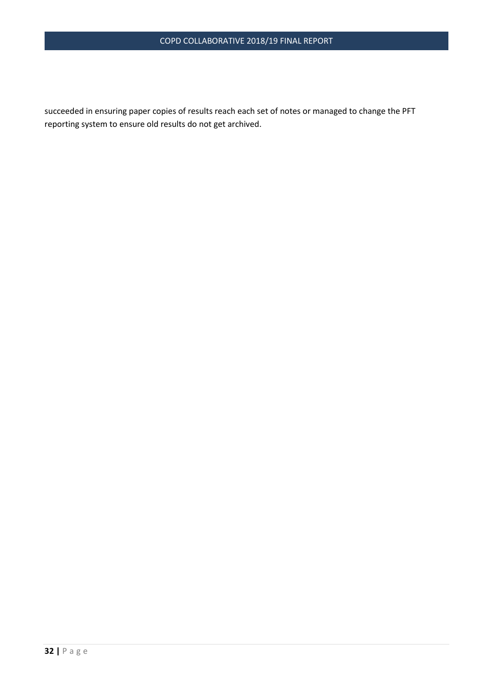succeeded in ensuring paper copies of results reach each set of notes or managed to change the PFT reporting system to ensure old results do not get archived.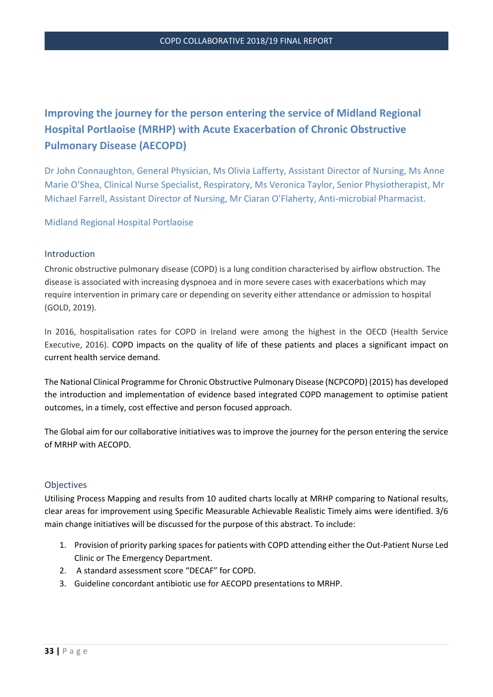# **Improving the journey for the person entering the service of Midland Regional Hospital Portlaoise (MRHP) with Acute Exacerbation of Chronic Obstructive Pulmonary Disease (AECOPD)**

Dr John Connaughton, General Physician, Ms Olivia Lafferty, Assistant Director of Nursing, Ms Anne Marie O'Shea, Clinical Nurse Specialist, Respiratory, Ms Veronica Taylor, Senior Physiotherapist, Mr Michael Farrell, Assistant Director of Nursing, Mr Ciaran O'Flaherty, Anti-microbial Pharmacist.

Midland Regional Hospital Portlaoise

## Introduction

Chronic obstructive pulmonary disease (COPD) is a lung condition characterised by airflow obstruction. The disease is associated with increasing dyspnoea and in more severe cases with exacerbations which may require intervention in primary care or depending on severity either attendance or admission to hospital (GOLD, 2019).

In 2016, hospitalisation rates for COPD in Ireland were among the highest in the OECD (Health Service Executive, 2016). COPD impacts on the quality of life of these patients and places a significant impact on current health service demand.

The National Clinical Programme for Chronic Obstructive Pulmonary Disease (NCPCOPD) (2015) has developed the introduction and implementation of evidence based integrated COPD management to optimise patient outcomes, in a timely, cost effective and person focused approach.

The Global aim for our collaborative initiatives was to improve the journey for the person entering the service of MRHP with AECOPD.

#### **Objectives**

Utilising Process Mapping and results from 10 audited charts locally at MRHP comparing to National results, clear areas for improvement using Specific Measurable Achievable Realistic Timely aims were identified. 3/6 main change initiatives will be discussed for the purpose of this abstract. To include:

- 1. Provision of priority parking spaces for patients with COPD attending either the Out-Patient Nurse Led Clinic or The Emergency Department.
- 2. A standard assessment score "DECAF" for COPD.
- 3. Guideline concordant antibiotic use for AECOPD presentations to MRHP.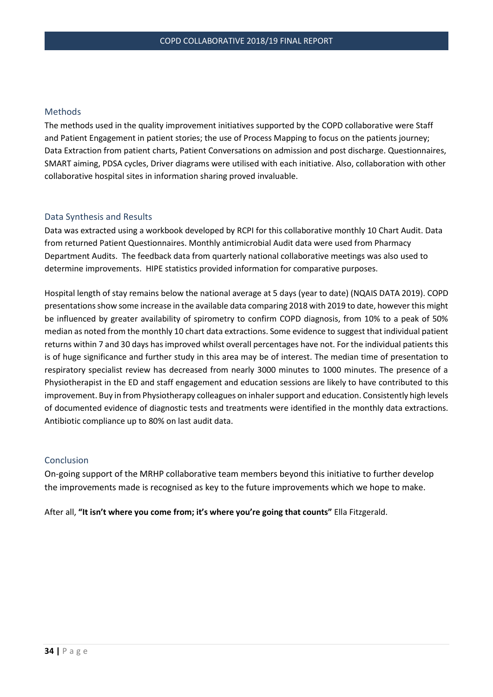## Methods

The methods used in the quality improvement initiatives supported by the COPD collaborative were Staff and Patient Engagement in patient stories; the use of Process Mapping to focus on the patients journey; Data Extraction from patient charts, Patient Conversations on admission and post discharge. Questionnaires, SMART aiming, PDSA cycles, Driver diagrams were utilised with each initiative. Also, collaboration with other collaborative hospital sites in information sharing proved invaluable.

#### Data Synthesis and Results

Data was extracted using a workbook developed by RCPI for this collaborative monthly 10 Chart Audit. Data from returned Patient Questionnaires. Monthly antimicrobial Audit data were used from Pharmacy Department Audits. The feedback data from quarterly national collaborative meetings was also used to determine improvements. HIPE statistics provided information for comparative purposes.

Hospital length of stay remains below the national average at 5 days (year to date) (NQAIS DATA 2019). COPD presentations show some increase in the available data comparing 2018 with 2019 to date, however this might be influenced by greater availability of spirometry to confirm COPD diagnosis, from 10% to a peak of 50% median as noted from the monthly 10 chart data extractions. Some evidence to suggest that individual patient returns within 7 and 30 days has improved whilst overall percentages have not. For the individual patients this is of huge significance and further study in this area may be of interest. The median time of presentation to respiratory specialist review has decreased from nearly 3000 minutes to 1000 minutes. The presence of a Physiotherapist in the ED and staff engagement and education sessions are likely to have contributed to this improvement. Buy in from Physiotherapy colleagues on inhaler support and education. Consistently high levels of documented evidence of diagnostic tests and treatments were identified in the monthly data extractions. Antibiotic compliance up to 80% on last audit data.

#### Conclusion

On-going support of the MRHP collaborative team members beyond this initiative to further develop the improvements made is recognised as key to the future improvements which we hope to make.

After all, **"It isn't where you come from; it's where you're going that counts"** Ella Fitzgerald.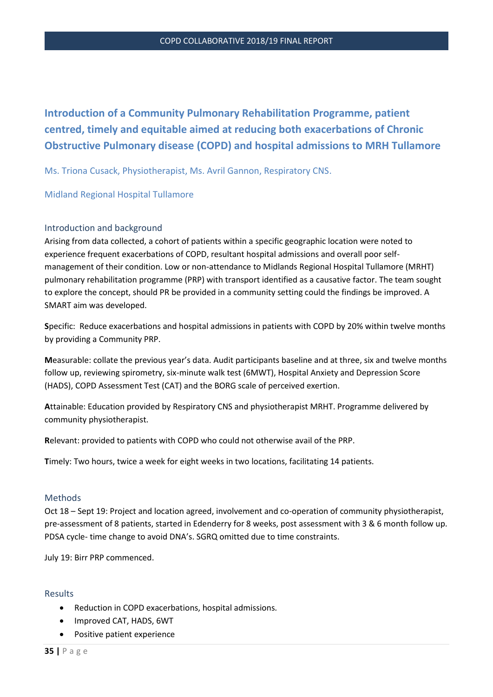# **Introduction of a Community Pulmonary Rehabilitation Programme, patient centred, timely and equitable aimed at reducing both exacerbations of Chronic Obstructive Pulmonary disease (COPD) and hospital admissions to MRH Tullamore**

Ms. Triona Cusack, Physiotherapist, Ms. Avril Gannon, Respiratory CNS.

Midland Regional Hospital Tullamore

## Introduction and background

Arising from data collected, a cohort of patients within a specific geographic location were noted to experience frequent exacerbations of COPD, resultant hospital admissions and overall poor selfmanagement of their condition. Low or non-attendance to Midlands Regional Hospital Tullamore (MRHT) pulmonary rehabilitation programme (PRP) with transport identified as a causative factor. The team sought to explore the concept, should PR be provided in a community setting could the findings be improved. A SMART aim was developed.

**S**pecific: Reduce exacerbations and hospital admissions in patients with COPD by 20% within twelve months by providing a Community PRP.

**M**easurable: collate the previous year's data. Audit participants baseline and at three, six and twelve months follow up, reviewing spirometry, six-minute walk test (6MWT), Hospital Anxiety and Depression Score (HADS), COPD Assessment Test (CAT) and the BORG scale of perceived exertion.

**A**ttainable: Education provided by Respiratory CNS and physiotherapist MRHT. Programme delivered by community physiotherapist.

**R**elevant: provided to patients with COPD who could not otherwise avail of the PRP.

**T**imely: Two hours, twice a week for eight weeks in two locations, facilitating 14 patients.

#### Methods

Oct 18 – Sept 19: Project and location agreed, involvement and co-operation of community physiotherapist, pre-assessment of 8 patients, started in Edenderry for 8 weeks, post assessment with 3 & 6 month follow up. PDSA cycle- time change to avoid DNA's. SGRQ omitted due to time constraints.

July 19: Birr PRP commenced.

#### Results

- Reduction in COPD exacerbations, hospital admissions.
- Improved CAT, HADS, 6WT
- Positive patient experience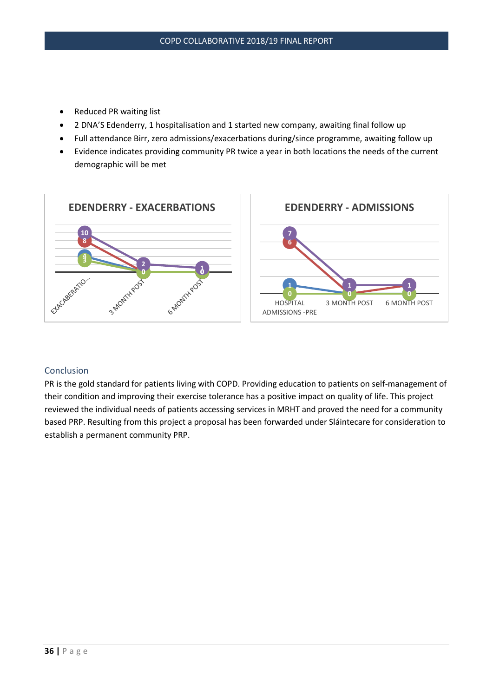- Reduced PR waiting list
- 2 DNA'S Edenderry, 1 hospitalisation and 1 started new company, awaiting final follow up
- Full attendance Birr, zero admissions/exacerbations during/since programme, awaiting follow up
- Evidence indicates providing community PR twice a year in both locations the needs of the current demographic will be met



# Conclusion

PR is the gold standard for patients living with COPD. Providing education to patients on self-management of their condition and improving their exercise tolerance has a positive impact on quality of life. This project reviewed the individual needs of patients accessing services in MRHT and proved the need for a community based PRP. Resulting from this project a proposal has been forwarded under Sláintecare for consideration to establish a permanent community PRP.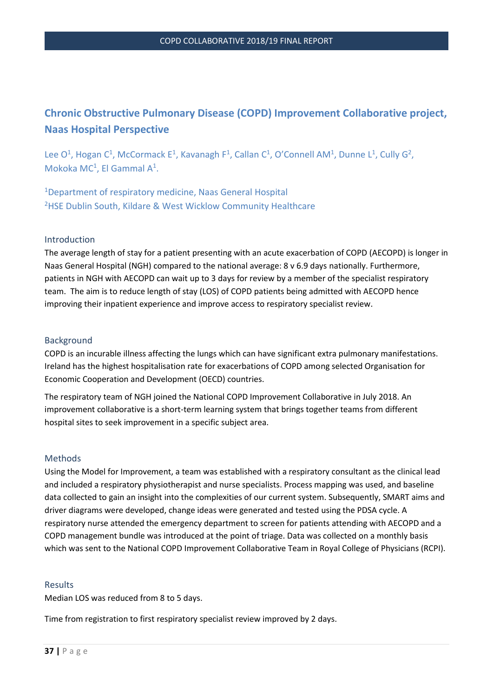# **Chronic Obstructive Pulmonary Disease (COPD) Improvement Collaborative project, Naas Hospital Perspective**

Lee  $O^1$ , Hogan  $C^1$ , McCormack E<sup>1</sup>, Kavanagh F<sup>1</sup>, Callan  $C^1$ , O'Connell AM<sup>1</sup>, Dunne L<sup>1</sup>, Cully G<sup>2</sup>, Mokoka MC<sup>1</sup>, El Gammal A<sup>1</sup>.

<sup>1</sup>Department of respiratory medicine, Naas General Hospital <sup>2</sup>HSE Dublin South, Kildare & West Wicklow Community Healthcare

## Introduction

The average length of stay for a patient presenting with an acute exacerbation of COPD (AECOPD) is longer in Naas General Hospital (NGH) compared to the national average: 8 v 6.9 days nationally. Furthermore, patients in NGH with AECOPD can wait up to 3 days for review by a member of the specialist respiratory team. The aim is to reduce length of stay (LOS) of COPD patients being admitted with AECOPD hence improving their inpatient experience and improve access to respiratory specialist review.

## Background

COPD is an incurable illness affecting the lungs which can have significant extra pulmonary manifestations. Ireland has the highest hospitalisation rate for exacerbations of COPD among selected Organisation for Economic Cooperation and Development (OECD) countries.

The respiratory team of NGH joined the National COPD Improvement Collaborative in July 2018. An improvement collaborative is a short-term learning system that brings together teams from different hospital sites to seek improvement in a specific subject area.

#### Methods

Using the Model for Improvement, a team was established with a respiratory consultant as the clinical lead and included a respiratory physiotherapist and nurse specialists. Process mapping was used, and baseline data collected to gain an insight into the complexities of our current system. Subsequently, SMART aims and driver diagrams were developed, change ideas were generated and tested using the PDSA cycle. A respiratory nurse attended the emergency department to screen for patients attending with AECOPD and a COPD management bundle was introduced at the point of triage. Data was collected on a monthly basis which was sent to the National COPD Improvement Collaborative Team in Royal College of Physicians (RCPI).

#### Results

Median LOS was reduced from 8 to 5 days.

Time from registration to first respiratory specialist review improved by 2 days.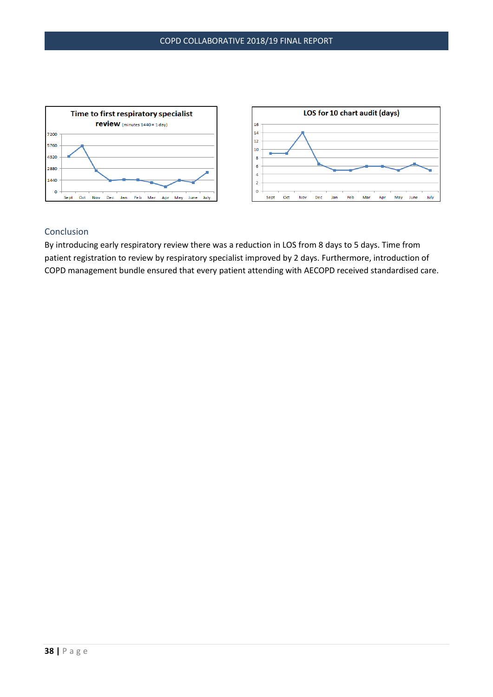

# Conclusion

By introducing early respiratory review there was a reduction in LOS from 8 days to 5 days. Time from patient registration to review by respiratory specialist improved by 2 days. Furthermore, introduction of COPD management bundle ensured that every patient attending with AECOPD received standardised care.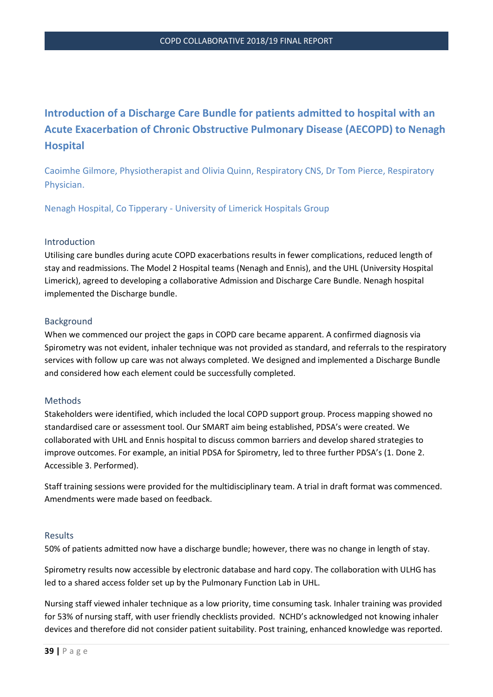# **Introduction of a Discharge Care Bundle for patients admitted to hospital with an Acute Exacerbation of Chronic Obstructive Pulmonary Disease (AECOPD) to Nenagh Hospital**

Caoimhe Gilmore, Physiotherapist and Olivia Quinn, Respiratory CNS, Dr Tom Pierce, Respiratory Physician.

Nenagh Hospital, Co Tipperary - University of Limerick Hospitals Group

#### Introduction

Utilising care bundles during acute COPD exacerbations results in fewer complications, reduced length of stay and readmissions. The Model 2 Hospital teams (Nenagh and Ennis), and the UHL (University Hospital Limerick), agreed to developing a collaborative Admission and Discharge Care Bundle. Nenagh hospital implemented the Discharge bundle.

#### Background

When we commenced our project the gaps in COPD care became apparent. A confirmed diagnosis via Spirometry was not evident, inhaler technique was not provided as standard, and referrals to the respiratory services with follow up care was not always completed. We designed and implemented a Discharge Bundle and considered how each element could be successfully completed.

#### Methods

Stakeholders were identified, which included the local COPD support group. Process mapping showed no standardised care or assessment tool. Our SMART aim being established, PDSA's were created. We collaborated with UHL and Ennis hospital to discuss common barriers and develop shared strategies to improve outcomes. For example, an initial PDSA for Spirometry, led to three further PDSA's (1. Done 2. Accessible 3. Performed).

Staff training sessions were provided for the multidisciplinary team. A trial in draft format was commenced. Amendments were made based on feedback.

#### Results

50% of patients admitted now have a discharge bundle; however, there was no change in length of stay.

Spirometry results now accessible by electronic database and hard copy. The collaboration with ULHG has led to a shared access folder set up by the Pulmonary Function Lab in UHL.

Nursing staff viewed inhaler technique as a low priority, time consuming task. Inhaler training was provided for 53% of nursing staff, with user friendly checklists provided. NCHD's acknowledged not knowing inhaler devices and therefore did not consider patient suitability. Post training, enhanced knowledge was reported.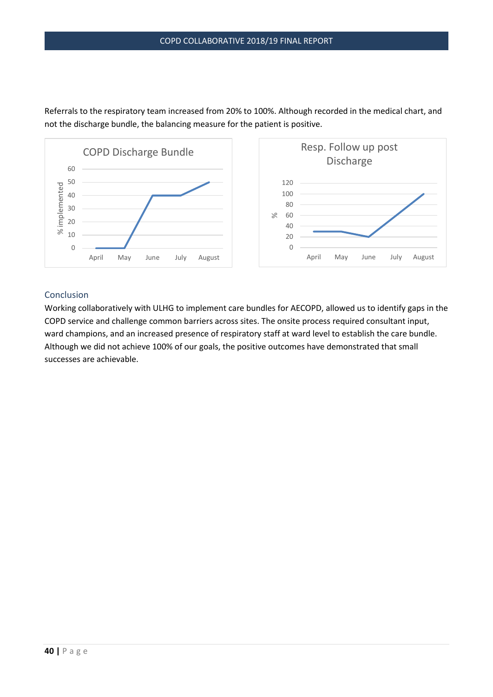

Referrals to the respiratory team increased from 20% to 100%. Although recorded in the medical chart, and not the discharge bundle, the balancing measure for the patient is positive.

# Conclusion

Working collaboratively with ULHG to implement care bundles for AECOPD, allowed us to identify gaps in the COPD service and challenge common barriers across sites. The onsite process required consultant input, ward champions, and an increased presence of respiratory staff at ward level to establish the care bundle. Although we did not achieve 100% of our goals, the positive outcomes have demonstrated that small successes are achievable.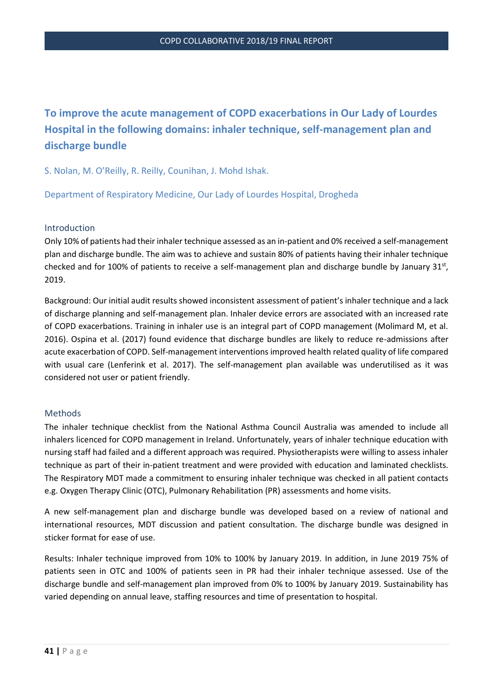# **To improve the acute management of COPD exacerbations in Our Lady of Lourdes Hospital in the following domains: inhaler technique, self-management plan and discharge bundle**

S. Nolan, M. O'Reilly, R. ReilIy, Counihan, J. Mohd Ishak.

Department of Respiratory Medicine, Our Lady of Lourdes Hospital, Drogheda

#### Introduction

Only 10% of patients had their inhaler technique assessed as an in-patient and 0% received a self-management plan and discharge bundle. The aim was to achieve and sustain 80% of patients having their inhaler technique checked and for 100% of patients to receive a self-management plan and discharge bundle by January  $31<sup>st</sup>$ , 2019.

Background: Our initial audit results showed inconsistent assessment of patient's inhaler technique and a lack of discharge planning and self-management plan. Inhaler device errors are associated with an increased rate of COPD exacerbations. Training in inhaler use is an integral part of COPD management (Molimard M, et al. 2016). Ospina et al. (2017) found evidence that discharge bundles are likely to reduce re-admissions after acute exacerbation of COPD. Self-management interventions improved health related quality of life compared with usual care (Lenferink et al. 2017). The self-management plan available was underutilised as it was considered not user or patient friendly.

#### Methods

The inhaler technique checklist from the National Asthma Council Australia was amended to include all inhalers licenced for COPD management in Ireland. Unfortunately, years of inhaler technique education with nursing staff had failed and a different approach was required. Physiotherapists were willing to assess inhaler technique as part of their in-patient treatment and were provided with education and laminated checklists. The Respiratory MDT made a commitment to ensuring inhaler technique was checked in all patient contacts e.g. Oxygen Therapy Clinic (OTC), Pulmonary Rehabilitation (PR) assessments and home visits.

A new self-management plan and discharge bundle was developed based on a review of national and international resources, MDT discussion and patient consultation. The discharge bundle was designed in sticker format for ease of use.

Results: Inhaler technique improved from 10% to 100% by January 2019*.* In addition, in June 2019 75% of patients seen in OTC and 100% of patients seen in PR had their inhaler technique assessed. Use of the discharge bundle and self-management plan improved from 0% to 100% by January 2019. Sustainability has varied depending on annual leave, staffing resources and time of presentation to hospital.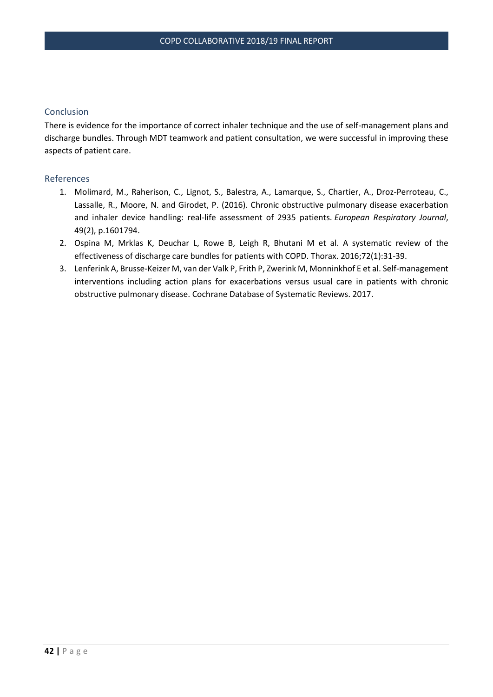# Conclusion

There is evidence for the importance of correct inhaler technique and the use of self-management plans and discharge bundles. Through MDT teamwork and patient consultation, we were successful in improving these aspects of patient care.

## References

- 1. Molimard, M., Raherison, C., Lignot, S., Balestra, A., Lamarque, S., Chartier, A., Droz-Perroteau, C., Lassalle, R., Moore, N. and Girodet, P. (2016). Chronic obstructive pulmonary disease exacerbation and inhaler device handling: real-life assessment of 2935 patients. *European Respiratory Journal*, 49(2), p.1601794.
- 2. Ospina M, Mrklas K, Deuchar L, Rowe B, Leigh R, Bhutani M et al. A systematic review of the effectiveness of discharge care bundles for patients with COPD. Thorax. 2016;72(1):31-39.
- 3. Lenferink A, Brusse-Keizer M, van der Valk P, Frith P, Zwerink M, Monninkhof E et al. Self-management interventions including action plans for exacerbations versus usual care in patients with chronic obstructive pulmonary disease. Cochrane Database of Systematic Reviews. 2017.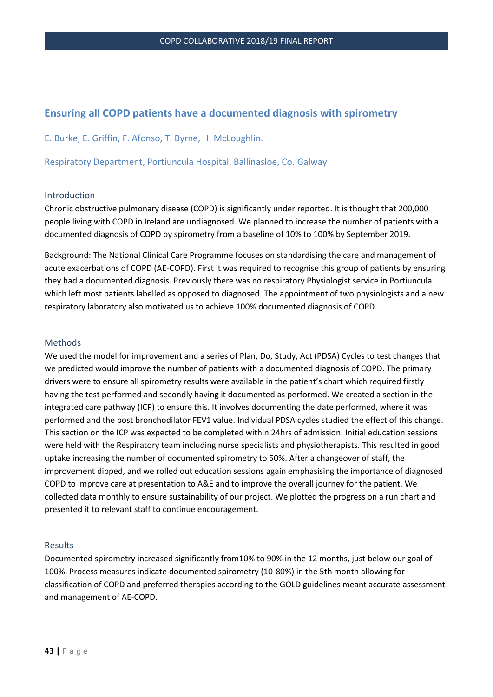# **Ensuring all COPD patients have a documented diagnosis with spirometry**

E. Burke, E. Griffin, F. Afonso, T. Byrne, H. McLoughlin.

Respiratory Department, Portiuncula Hospital, Ballinasloe, Co. Galway

#### Introduction

Chronic obstructive pulmonary disease (COPD) is significantly under reported. It is thought that 200,000 people living with COPD in Ireland are undiagnosed. We planned to increase the number of patients with a documented diagnosis of COPD by spirometry from a baseline of 10% to 100% by September 2019.

Background: The National Clinical Care Programme focuses on standardising the care and management of acute exacerbations of COPD (AE-COPD). First it was required to recognise this group of patients by ensuring they had a documented diagnosis. Previously there was no respiratory Physiologist service in Portiuncula which left most patients labelled as opposed to diagnosed. The appointment of two physiologists and a new respiratory laboratory also motivated us to achieve 100% documented diagnosis of COPD.

#### Methods

We used the model for improvement and a series of Plan, Do, Study, Act (PDSA) Cycles to test changes that we predicted would improve the number of patients with a documented diagnosis of COPD. The primary drivers were to ensure all spirometry results were available in the patient's chart which required firstly having the test performed and secondly having it documented as performed. We created a section in the integrated care pathway (ICP) to ensure this. It involves documenting the date performed, where it was performed and the post bronchodilator FEV1 value. Individual PDSA cycles studied the effect of this change. This section on the ICP was expected to be completed within 24hrs of admission. Initial education sessions were held with the Respiratory team including nurse specialists and physiotherapists. This resulted in good uptake increasing the number of documented spirometry to 50%. After a changeover of staff, the improvement dipped, and we rolled out education sessions again emphasising the importance of diagnosed COPD to improve care at presentation to A&E and to improve the overall journey for the patient. We collected data monthly to ensure sustainability of our project. We plotted the progress on a run chart and presented it to relevant staff to continue encouragement.

#### Results

Documented spirometry increased significantly from10% to 90% in the 12 months, just below our goal of 100%. Process measures indicate documented spirometry (10-80%) in the 5th month allowing for classification of COPD and preferred therapies according to the GOLD guidelines meant accurate assessment and management of AE-COPD.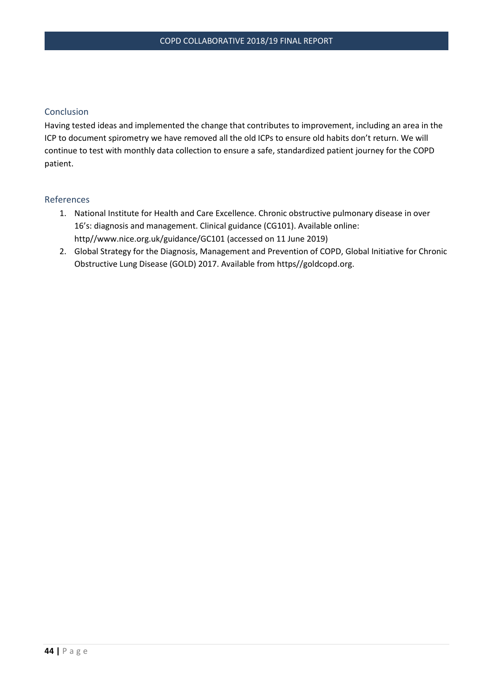# Conclusion

Having tested ideas and implemented the change that contributes to improvement, including an area in the ICP to document spirometry we have removed all the old ICPs to ensure old habits don't return. We will continue to test with monthly data collection to ensure a safe, standardized patient journey for the COPD patient.

#### References

- 1. National Institute for Health and Care Excellence. Chronic obstructive pulmonary disease in over 16's: diagnosis and management. Clinical guidance (CG101). Available online: http//www.nice.org.uk/guidance/GC101 (accessed on 11 June 2019)
- 2. Global Strategy for the Diagnosis, Management and Prevention of COPD, Global Initiative for Chronic Obstructive Lung Disease (GOLD) 2017. Available from https//goldcopd.org.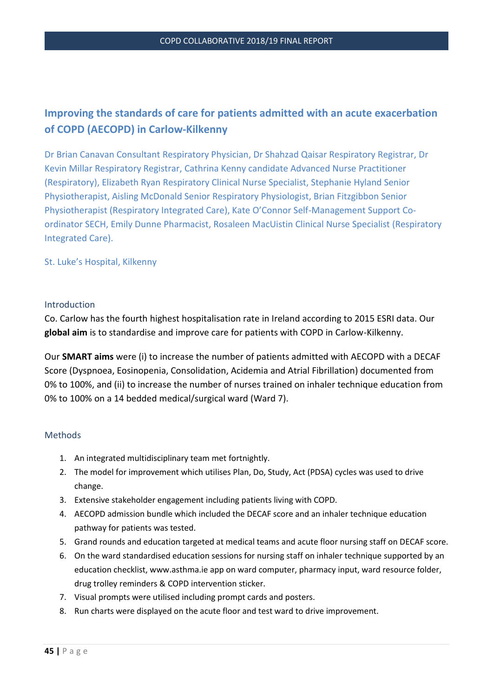# **Improving the standards of care for patients admitted with an acute exacerbation of COPD (AECOPD) in Carlow-Kilkenny**

Dr Brian Canavan Consultant Respiratory Physician, Dr Shahzad Qaisar Respiratory Registrar, Dr Kevin Millar Respiratory Registrar, Cathrina Kenny candidate Advanced Nurse Practitioner (Respiratory), Elizabeth Ryan Respiratory Clinical Nurse Specialist, Stephanie Hyland Senior Physiotherapist, Aisling McDonald Senior Respiratory Physiologist, Brian Fitzgibbon Senior Physiotherapist (Respiratory Integrated Care), Kate O'Connor Self-Management Support Coordinator SECH, Emily Dunne Pharmacist, Rosaleen MacUistin Clinical Nurse Specialist (Respiratory Integrated Care).

St. Luke's Hospital, Kilkenny

## Introduction

Co. Carlow has the fourth highest hospitalisation rate in Ireland according to 2015 ESRI data. Our **global aim** is to standardise and improve care for patients with COPD in Carlow-Kilkenny.

Our **SMART aims** were (i) to increase the number of patients admitted with AECOPD with a DECAF Score (Dyspnoea, Eosinopenia, Consolidation, Acidemia and Atrial Fibrillation) documented from 0% to 100%, and (ii) to increase the number of nurses trained on inhaler technique education from 0% to 100% on a 14 bedded medical/surgical ward (Ward 7).

# Methods

- 1. An integrated multidisciplinary team met fortnightly.
- 2. The model for improvement which utilises Plan, Do, Study, Act (PDSA) cycles was used to drive change.
- 3. Extensive stakeholder engagement including patients living with COPD.
- 4. AECOPD admission bundle which included the DECAF score and an inhaler technique education pathway for patients was tested.
- 5. Grand rounds and education targeted at medical teams and acute floor nursing staff on DECAF score.
- 6. On the ward standardised education sessions for nursing staff on inhaler technique supported by an education checklist, [www.asthma.ie](http://www.asthma.ie/) app on ward computer, pharmacy input, ward resource folder, drug trolley reminders & COPD intervention sticker.
- 7. Visual prompts were utilised including prompt cards and posters.
- 8. Run charts were displayed on the acute floor and test ward to drive improvement.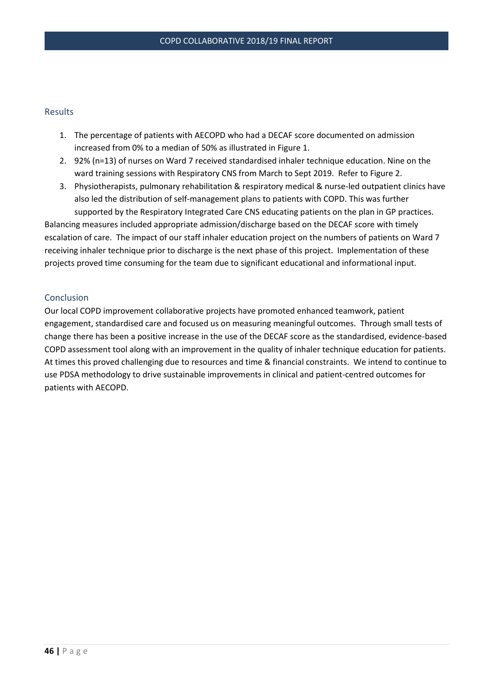## Results

- 1. The percentage of patients with AECOPD who had a DECAF score documented on admission increased from 0% to a median of 50% as illustrated in Figure 1.
- 2. 92% (n=13) of nurses on Ward 7 received standardised inhaler technique education. Nine on the ward training sessions with Respiratory CNS from March to Sept 2019. Refer to Figure 2.
- 3. Physiotherapists, pulmonary rehabilitation & respiratory medical & nurse-led outpatient clinics have also led the distribution of self-management plans to patients with COPD. This was further supported by the Respiratory Integrated Care CNS educating patients on the plan in GP practices.

Balancing measures included appropriate admission/discharge based on the DECAF score with timely escalation of care. The impact of our staff inhaler education project on the numbers of patients on Ward 7 receiving inhaler technique prior to discharge is the next phase of this project. Implementation of these projects proved time consuming for the team due to significant educational and informational input.

## Conclusion

Our local COPD improvement collaborative projects have promoted enhanced teamwork, patient engagement, standardised care and focused us on measuring meaningful outcomes. Through small tests of change there has been a positive increase in the use of the DECAF score as the standardised, evidence-based COPD assessment tool along with an improvement in the quality of inhaler technique education for patients. At times this proved challenging due to resources and time & financial constraints. We intend to continue to use PDSA methodology to drive sustainable improvements in clinical and patient-centred outcomes for patients with AECOPD.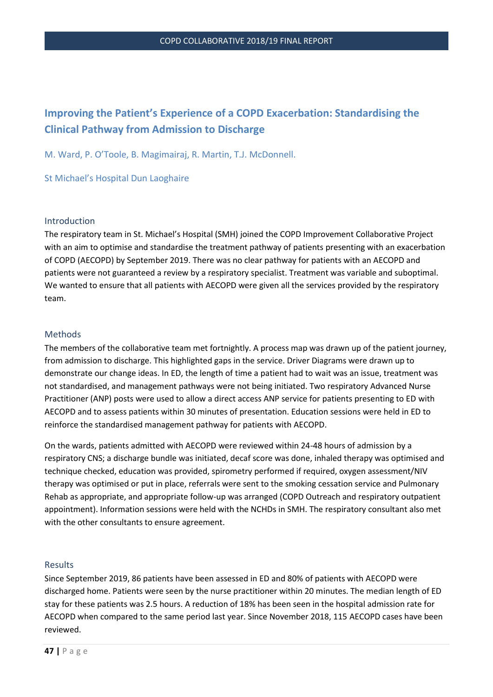# **Improving the Patient's Experience of a COPD Exacerbation: Standardising the Clinical Pathway from Admission to Discharge**

M. Ward, P. O'Toole, B. Magimairaj, R. Martin, T.J. McDonnell.

St Michael's Hospital Dun Laoghaire

#### Introduction

The respiratory team in St. Michael's Hospital (SMH) joined the COPD Improvement Collaborative Project with an aim to optimise and standardise the treatment pathway of patients presenting with an exacerbation of COPD (AECOPD) by September 2019. There was no clear pathway for patients with an AECOPD and patients were not guaranteed a review by a respiratory specialist. Treatment was variable and suboptimal. We wanted to ensure that all patients with AECOPD were given all the services provided by the respiratory team.

#### Methods

The members of the collaborative team met fortnightly. A process map was drawn up of the patient journey, from admission to discharge. This highlighted gaps in the service. Driver Diagrams were drawn up to demonstrate our change ideas. In ED, the length of time a patient had to wait was an issue, treatment was not standardised, and management pathways were not being initiated. Two respiratory Advanced Nurse Practitioner (ANP) posts were used to allow a direct access ANP service for patients presenting to ED with AECOPD and to assess patients within 30 minutes of presentation. Education sessions were held in ED to reinforce the standardised management pathway for patients with AECOPD.

On the wards, patients admitted with AECOPD were reviewed within 24-48 hours of admission by a respiratory CNS; a discharge bundle was initiated, decaf score was done, inhaled therapy was optimised and technique checked, education was provided, spirometry performed if required, oxygen assessment/NIV therapy was optimised or put in place, referrals were sent to the smoking cessation service and Pulmonary Rehab as appropriate, and appropriate follow-up was arranged (COPD Outreach and respiratory outpatient appointment). Information sessions were held with the NCHDs in SMH. The respiratory consultant also met with the other consultants to ensure agreement.

#### Results

Since September 2019, 86 patients have been assessed in ED and 80% of patients with AECOPD were discharged home. Patients were seen by the nurse practitioner within 20 minutes. The median length of ED stay for these patients was 2.5 hours. A reduction of 18% has been seen in the hospital admission rate for AECOPD when compared to the same period last year. Since November 2018, 115 AECOPD cases have been reviewed.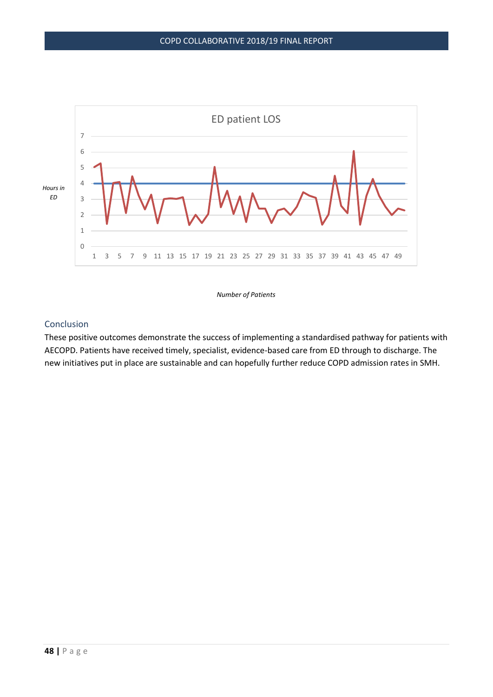

*Number of Patients* 

# Conclusion

These positive outcomes demonstrate the success of implementing a standardised pathway for patients with AECOPD. Patients have received timely, specialist, evidence-based care from ED through to discharge. The new initiatives put in place are sustainable and can hopefully further reduce COPD admission rates in SMH.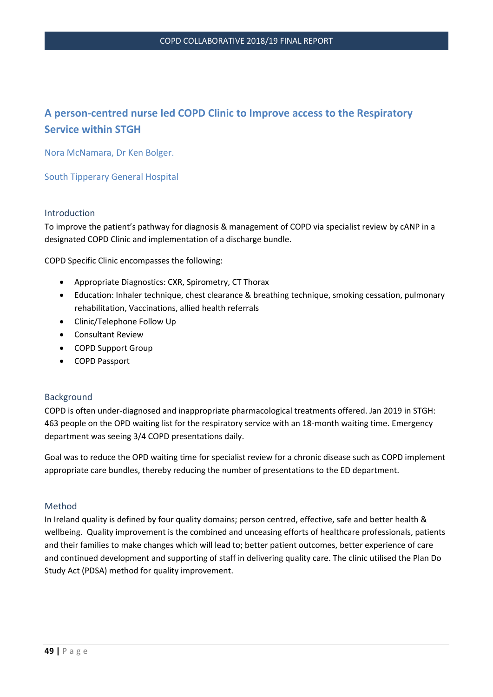# **A person-centred nurse led COPD Clinic to Improve access to the Respiratory Service within STGH**

Nora McNamara, Dr Ken Bolger.

South Tipperary General Hospital

#### Introduction

To improve the patient's pathway for diagnosis & management of COPD via specialist review by cANP in a designated COPD Clinic and implementation of a discharge bundle.

COPD Specific Clinic encompasses the following:

- Appropriate Diagnostics: CXR, Spirometry, CT Thorax
- Education: Inhaler technique, chest clearance & breathing technique, smoking cessation, pulmonary rehabilitation, Vaccinations, allied health referrals
- Clinic/Telephone Follow Up
- Consultant Review
- COPD Support Group
- COPD Passport

#### Background

COPD is often under-diagnosed and inappropriate pharmacological treatments offered. Jan 2019 in STGH: 463 people on the OPD waiting list for the respiratory service with an 18-month waiting time. Emergency department was seeing 3/4 COPD presentations daily.

Goal was to reduce the OPD waiting time for specialist review for a chronic disease such as COPD implement appropriate care bundles, thereby reducing the number of presentations to the ED department.

#### Method

In Ireland quality is defined by four quality domains; person centred, effective, safe and better health & wellbeing. Quality improvement is the combined and unceasing efforts of healthcare professionals, patients and their families to make changes which will lead to; better patient outcomes, better experience of care and continued development and supporting of staff in delivering quality care. The clinic utilised the Plan Do Study Act (PDSA) method for quality improvement.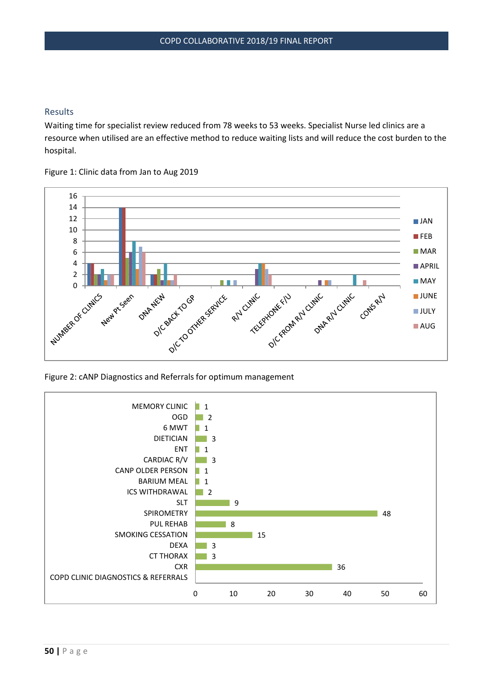# Results

Waiting time for specialist review reduced from 78 weeks to 53 weeks. Specialist Nurse led clinics are a resource when utilised are an effective method to reduce waiting lists and will reduce the cost burden to the hospital.

Figure 1: Clinic data from Jan to Aug 2019



Figure 2: cANP Diagnostics and Referrals for optimum management

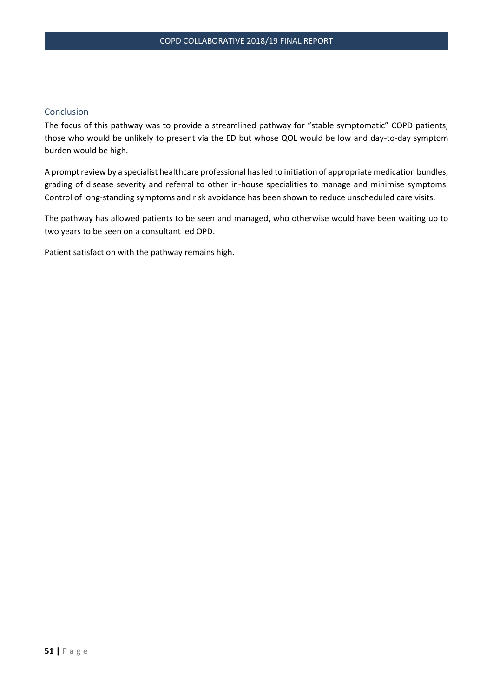## Conclusion

The focus of this pathway was to provide a streamlined pathway for "stable symptomatic" COPD patients, those who would be unlikely to present via the ED but whose QOL would be low and day-to-day symptom burden would be high.

A prompt review by a specialist healthcare professional has led to initiation of appropriate medication bundles, grading of disease severity and referral to other in-house specialities to manage and minimise symptoms. Control of long-standing symptoms and risk avoidance has been shown to reduce unscheduled care visits.

The pathway has allowed patients to be seen and managed, who otherwise would have been waiting up to two years to be seen on a consultant led OPD.

Patient satisfaction with the pathway remains high.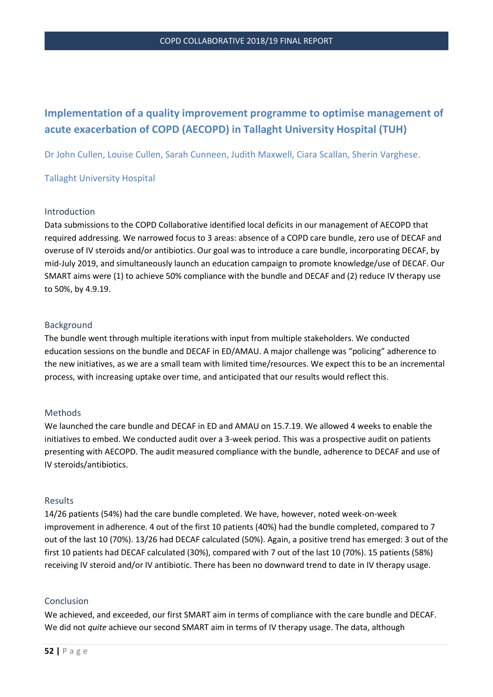# **Implementation of a quality improvement programme to optimise management of acute exacerbation of COPD (AECOPD) in Tallaght University Hospital (TUH)**

Dr John Cullen, Louise Cullen, Sarah Cunneen, Judith Maxwell, Ciara Scallan, Sherin Varghese.

## Tallaght University Hospital

#### Introduction

Data submissions to the COPD Collaborative identified local deficits in our management of AECOPD that required addressing. We narrowed focus to 3 areas: absence of a COPD care bundle, zero use of DECAF and overuse of IV steroids and/or antibiotics. Our goal was to introduce a care bundle, incorporating DECAF, by mid-July 2019, and simultaneously launch an education campaign to promote knowledge/use of DECAF. Our SMART aims were (1) to achieve 50% compliance with the bundle and DECAF and (2) reduce IV therapy use to 50%, by 4.9.19.

#### Background

The bundle went through multiple iterations with input from multiple stakeholders. We conducted education sessions on the bundle and DECAF in ED/AMAU. A major challenge was "policing" adherence to the new initiatives, as we are a small team with limited time/resources. We expect this to be an incremental process, with increasing uptake over time, and anticipated that our results would reflect this.

#### Methods

We launched the care bundle and DECAF in ED and AMAU on 15.7.19. We allowed 4 weeks to enable the initiatives to embed. We conducted audit over a 3-week period. This was a prospective audit on patients presenting with AECOPD. The audit measured compliance with the bundle, adherence to DECAF and use of IV steroids/antibiotics.

#### Results

14/26 patients (54%) had the care bundle completed. We have, however, noted week-on-week improvement in adherence. 4 out of the first 10 patients (40%) had the bundle completed, compared to 7 out of the last 10 (70%). 13/26 had DECAF calculated (50%). Again, a positive trend has emerged: 3 out of the first 10 patients had DECAF calculated (30%), compared with 7 out of the last 10 (70%). 15 patients (58%) receiving IV steroid and/or IV antibiotic. There has been no downward trend to date in IV therapy usage.

#### Conclusion

We achieved, and exceeded, our first SMART aim in terms of compliance with the care bundle and DECAF. We did not *quite* achieve our second SMART aim in terms of IV therapy usage. The data, although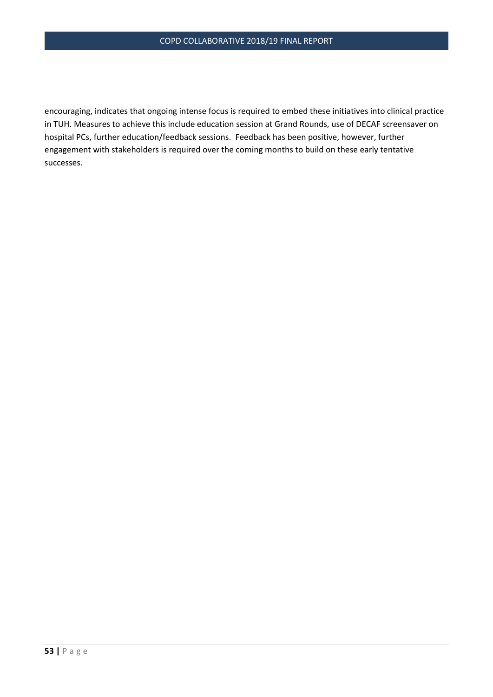encouraging, indicates that ongoing intense focus is required to embed these initiatives into clinical practice in TUH. Measures to achieve this include education session at Grand Rounds, use of DECAF screensaver on hospital PCs, further education/feedback sessions. Feedback has been positive, however, further engagement with stakeholders is required over the coming months to build on these early tentative successes.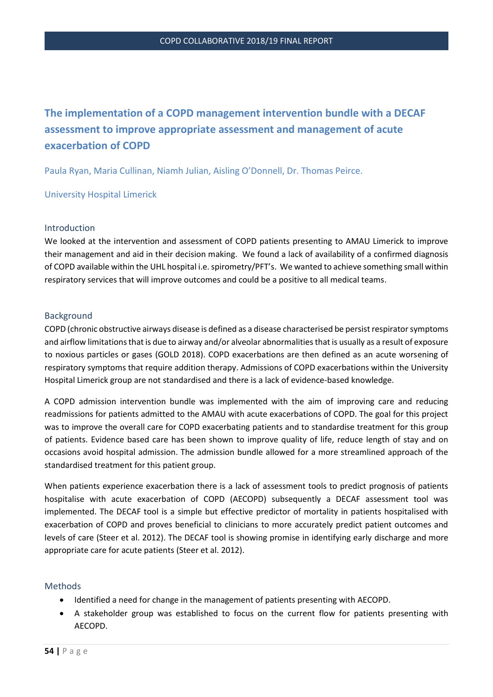# **The implementation of a COPD management intervention bundle with a DECAF assessment to improve appropriate assessment and management of acute exacerbation of COPD**

Paula Ryan, Maria Cullinan, Niamh Julian, Aisling O'Donnell, Dr. Thomas Peirce.

University Hospital Limerick

#### Introduction

We looked at the intervention and assessment of COPD patients presenting to AMAU Limerick to improve their management and aid in their decision making. We found a lack of availability of a confirmed diagnosis of COPD available within the UHL hospital i.e. spirometry/PFT's. We wanted to achieve something small within respiratory services that will improve outcomes and could be a positive to all medical teams.

## Background

COPD (chronic obstructive airways disease is defined as a disease characterised be persist respirator symptoms and airflow limitations that is due to airway and/or alveolar abnormalities that is usually as a result of exposure to noxious particles or gases (GOLD 2018). COPD exacerbations are then defined as an acute worsening of respiratory symptoms that require addition therapy. Admissions of COPD exacerbations within the University Hospital Limerick group are not standardised and there is a lack of evidence-based knowledge.

A COPD admission intervention bundle was implemented with the aim of improving care and reducing readmissions for patients admitted to the AMAU with acute exacerbations of COPD. The goal for this project was to improve the overall care for COPD exacerbating patients and to standardise treatment for this group of patients. Evidence based care has been shown to improve quality of life, reduce length of stay and on occasions avoid hospital admission. The admission bundle allowed for a more streamlined approach of the standardised treatment for this patient group.

When patients experience exacerbation there is a lack of assessment tools to predict prognosis of patients hospitalise with acute exacerbation of COPD (AECOPD) subsequently a DECAF assessment tool was implemented. The DECAF tool is a simple but effective predictor of mortality in patients hospitalised with exacerbation of COPD and proves beneficial to clinicians to more accurately predict patient outcomes and levels of care (Steer et al. 2012). The DECAF tool is showing promise in identifying early discharge and more appropriate care for acute patients (Steer et al. 2012).

#### Methods

- Identified a need for change in the management of patients presenting with AECOPD.
- A stakeholder group was established to focus on the current flow for patients presenting with AECOPD.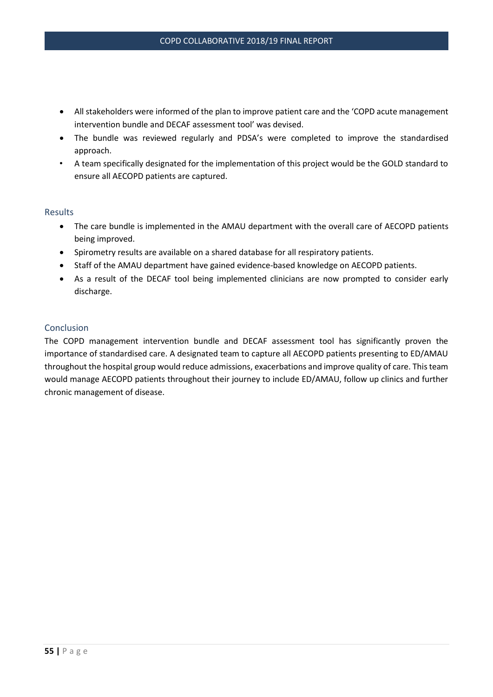- All stakeholders were informed of the plan to improve patient care and the 'COPD acute management intervention bundle and DECAF assessment tool' was devised.
- The bundle was reviewed regularly and PDSA's were completed to improve the standardised approach.
- A team specifically designated for the implementation of this project would be the GOLD standard to ensure all AECOPD patients are captured.

## Results

- The care bundle is implemented in the AMAU department with the overall care of AECOPD patients being improved.
- Spirometry results are available on a shared database for all respiratory patients.
- Staff of the AMAU department have gained evidence-based knowledge on AECOPD patients.
- As a result of the DECAF tool being implemented clinicians are now prompted to consider early discharge.

# Conclusion

The COPD management intervention bundle and DECAF assessment tool has significantly proven the importance of standardised care. A designated team to capture all AECOPD patients presenting to ED/AMAU throughout the hospital group would reduce admissions, exacerbations and improve quality of care. This team would manage AECOPD patients throughout their journey to include ED/AMAU, follow up clinics and further chronic management of disease.